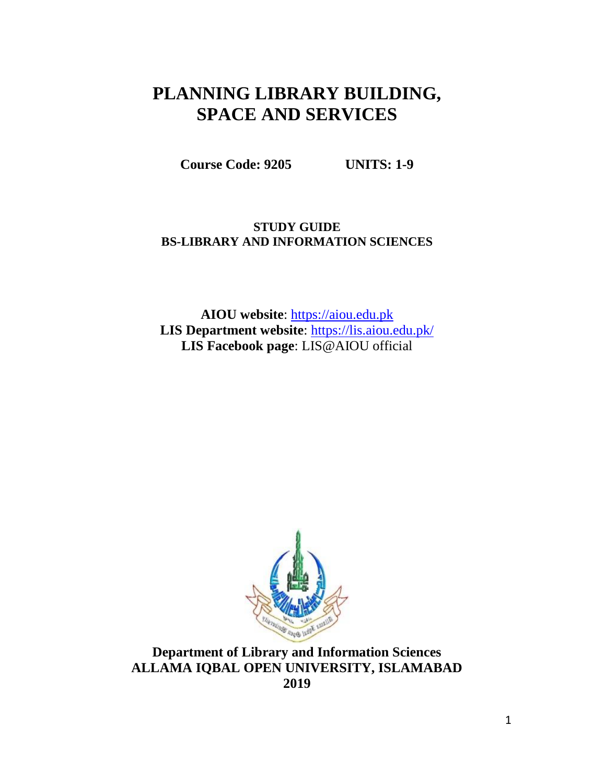# **PLANNING LIBRARY BUILDING, SPACE AND SERVICES**

**Course Code: 9205 UNITS: 1-9**

#### **STUDY GUIDE BS-LIBRARY AND INFORMATION SCIENCES**

**AIOU website**: [https://aiou.edu.pk](https://aiou.edu.pk/) **LIS Department website**: [https://lis.aiou.edu.pk/](http://lis.aiou.edu.pk/) **LIS Facebook page**: LIS@AIOU official



**Department of Library and Information Sciences ALLAMA IQBAL OPEN UNIVERSITY, ISLAMABAD 2019**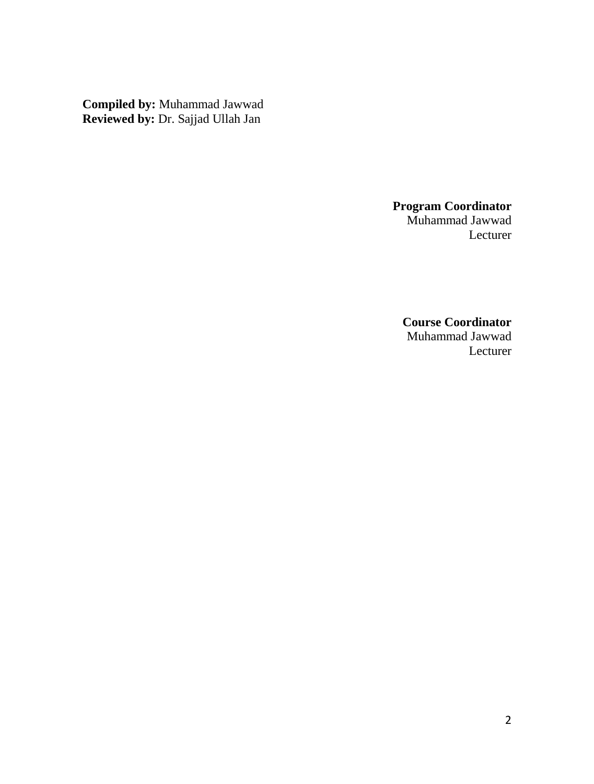**Compiled by:** Muhammad Jawwad **Reviewed by:** Dr. Sajjad Ullah Jan

> **Program Coordinator** Muhammad Jawwad Lecturer

**Course Coordinator** Muhammad Jawwad Lecturer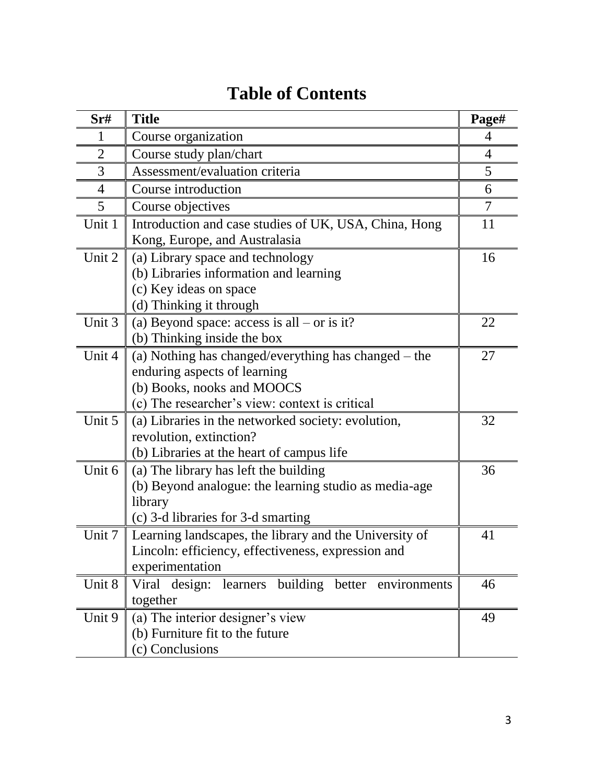| Course organization<br>1<br>4<br>Course study plan/chart<br>2<br>$\overline{4}$<br>Assessment/evaluation criteria<br>5<br>3<br>$\overline{4}$<br>Course introduction<br>6<br>$\tau$<br>5<br>Course objectives<br>Unit 1<br>Introduction and case studies of UK, USA, China, Hong<br>11<br>Kong, Europe, and Australasia<br>Unit 2<br>(a) Library space and technology<br>16<br>(b) Libraries information and learning<br>(c) Key ideas on space<br>(d) Thinking it through<br>Unit 3<br>(a) Beyond space: access is all – or is it?<br>22<br>(b) Thinking inside the box<br>Unit 4<br>(a) Nothing has changed/everything has changed – the<br>27<br>enduring aspects of learning<br>(b) Books, nooks and MOOCS<br>(c) The researcher's view: context is critical<br>Unit 5<br>(a) Libraries in the networked society: evolution,<br>32<br>revolution, extinction?<br>(b) Libraries at the heart of campus life<br>Unit 6<br>(a) The library has left the building<br>36<br>(b) Beyond analogue: the learning studio as media-age<br>library<br>(c) 3-d libraries for 3-d smarting<br>Unit 7<br>Learning landscapes, the library and the University of<br>41<br>Lincoln: efficiency, effectiveness, expression and<br>experimentation | Sr#    | <b>Title</b> | Page# |
|--------------------------------------------------------------------------------------------------------------------------------------------------------------------------------------------------------------------------------------------------------------------------------------------------------------------------------------------------------------------------------------------------------------------------------------------------------------------------------------------------------------------------------------------------------------------------------------------------------------------------------------------------------------------------------------------------------------------------------------------------------------------------------------------------------------------------------------------------------------------------------------------------------------------------------------------------------------------------------------------------------------------------------------------------------------------------------------------------------------------------------------------------------------------------------------------------------------------------------------|--------|--------------|-------|
|                                                                                                                                                                                                                                                                                                                                                                                                                                                                                                                                                                                                                                                                                                                                                                                                                                                                                                                                                                                                                                                                                                                                                                                                                                      |        |              |       |
|                                                                                                                                                                                                                                                                                                                                                                                                                                                                                                                                                                                                                                                                                                                                                                                                                                                                                                                                                                                                                                                                                                                                                                                                                                      |        |              |       |
|                                                                                                                                                                                                                                                                                                                                                                                                                                                                                                                                                                                                                                                                                                                                                                                                                                                                                                                                                                                                                                                                                                                                                                                                                                      |        |              |       |
|                                                                                                                                                                                                                                                                                                                                                                                                                                                                                                                                                                                                                                                                                                                                                                                                                                                                                                                                                                                                                                                                                                                                                                                                                                      |        |              |       |
|                                                                                                                                                                                                                                                                                                                                                                                                                                                                                                                                                                                                                                                                                                                                                                                                                                                                                                                                                                                                                                                                                                                                                                                                                                      |        |              |       |
|                                                                                                                                                                                                                                                                                                                                                                                                                                                                                                                                                                                                                                                                                                                                                                                                                                                                                                                                                                                                                                                                                                                                                                                                                                      |        |              |       |
|                                                                                                                                                                                                                                                                                                                                                                                                                                                                                                                                                                                                                                                                                                                                                                                                                                                                                                                                                                                                                                                                                                                                                                                                                                      |        |              |       |
|                                                                                                                                                                                                                                                                                                                                                                                                                                                                                                                                                                                                                                                                                                                                                                                                                                                                                                                                                                                                                                                                                                                                                                                                                                      |        |              |       |
|                                                                                                                                                                                                                                                                                                                                                                                                                                                                                                                                                                                                                                                                                                                                                                                                                                                                                                                                                                                                                                                                                                                                                                                                                                      |        |              |       |
|                                                                                                                                                                                                                                                                                                                                                                                                                                                                                                                                                                                                                                                                                                                                                                                                                                                                                                                                                                                                                                                                                                                                                                                                                                      |        |              |       |
|                                                                                                                                                                                                                                                                                                                                                                                                                                                                                                                                                                                                                                                                                                                                                                                                                                                                                                                                                                                                                                                                                                                                                                                                                                      |        |              |       |
|                                                                                                                                                                                                                                                                                                                                                                                                                                                                                                                                                                                                                                                                                                                                                                                                                                                                                                                                                                                                                                                                                                                                                                                                                                      |        |              |       |
|                                                                                                                                                                                                                                                                                                                                                                                                                                                                                                                                                                                                                                                                                                                                                                                                                                                                                                                                                                                                                                                                                                                                                                                                                                      |        |              |       |
|                                                                                                                                                                                                                                                                                                                                                                                                                                                                                                                                                                                                                                                                                                                                                                                                                                                                                                                                                                                                                                                                                                                                                                                                                                      |        |              |       |
|                                                                                                                                                                                                                                                                                                                                                                                                                                                                                                                                                                                                                                                                                                                                                                                                                                                                                                                                                                                                                                                                                                                                                                                                                                      |        |              |       |
|                                                                                                                                                                                                                                                                                                                                                                                                                                                                                                                                                                                                                                                                                                                                                                                                                                                                                                                                                                                                                                                                                                                                                                                                                                      |        |              |       |
|                                                                                                                                                                                                                                                                                                                                                                                                                                                                                                                                                                                                                                                                                                                                                                                                                                                                                                                                                                                                                                                                                                                                                                                                                                      |        |              |       |
|                                                                                                                                                                                                                                                                                                                                                                                                                                                                                                                                                                                                                                                                                                                                                                                                                                                                                                                                                                                                                                                                                                                                                                                                                                      |        |              |       |
|                                                                                                                                                                                                                                                                                                                                                                                                                                                                                                                                                                                                                                                                                                                                                                                                                                                                                                                                                                                                                                                                                                                                                                                                                                      |        |              |       |
|                                                                                                                                                                                                                                                                                                                                                                                                                                                                                                                                                                                                                                                                                                                                                                                                                                                                                                                                                                                                                                                                                                                                                                                                                                      |        |              |       |
|                                                                                                                                                                                                                                                                                                                                                                                                                                                                                                                                                                                                                                                                                                                                                                                                                                                                                                                                                                                                                                                                                                                                                                                                                                      |        |              |       |
|                                                                                                                                                                                                                                                                                                                                                                                                                                                                                                                                                                                                                                                                                                                                                                                                                                                                                                                                                                                                                                                                                                                                                                                                                                      |        |              |       |
|                                                                                                                                                                                                                                                                                                                                                                                                                                                                                                                                                                                                                                                                                                                                                                                                                                                                                                                                                                                                                                                                                                                                                                                                                                      |        |              |       |
|                                                                                                                                                                                                                                                                                                                                                                                                                                                                                                                                                                                                                                                                                                                                                                                                                                                                                                                                                                                                                                                                                                                                                                                                                                      |        |              |       |
|                                                                                                                                                                                                                                                                                                                                                                                                                                                                                                                                                                                                                                                                                                                                                                                                                                                                                                                                                                                                                                                                                                                                                                                                                                      |        |              |       |
|                                                                                                                                                                                                                                                                                                                                                                                                                                                                                                                                                                                                                                                                                                                                                                                                                                                                                                                                                                                                                                                                                                                                                                                                                                      |        |              |       |
| 46                                                                                                                                                                                                                                                                                                                                                                                                                                                                                                                                                                                                                                                                                                                                                                                                                                                                                                                                                                                                                                                                                                                                                                                                                                   | Unit 8 |              |       |
| Viral design: learners building better environments<br>together                                                                                                                                                                                                                                                                                                                                                                                                                                                                                                                                                                                                                                                                                                                                                                                                                                                                                                                                                                                                                                                                                                                                                                      |        |              |       |
| Unit 9<br>(a) The interior designer's view<br>49                                                                                                                                                                                                                                                                                                                                                                                                                                                                                                                                                                                                                                                                                                                                                                                                                                                                                                                                                                                                                                                                                                                                                                                     |        |              |       |
| (b) Furniture fit to the future                                                                                                                                                                                                                                                                                                                                                                                                                                                                                                                                                                                                                                                                                                                                                                                                                                                                                                                                                                                                                                                                                                                                                                                                      |        |              |       |
| (c) Conclusions                                                                                                                                                                                                                                                                                                                                                                                                                                                                                                                                                                                                                                                                                                                                                                                                                                                                                                                                                                                                                                                                                                                                                                                                                      |        |              |       |

# **Table of Contents**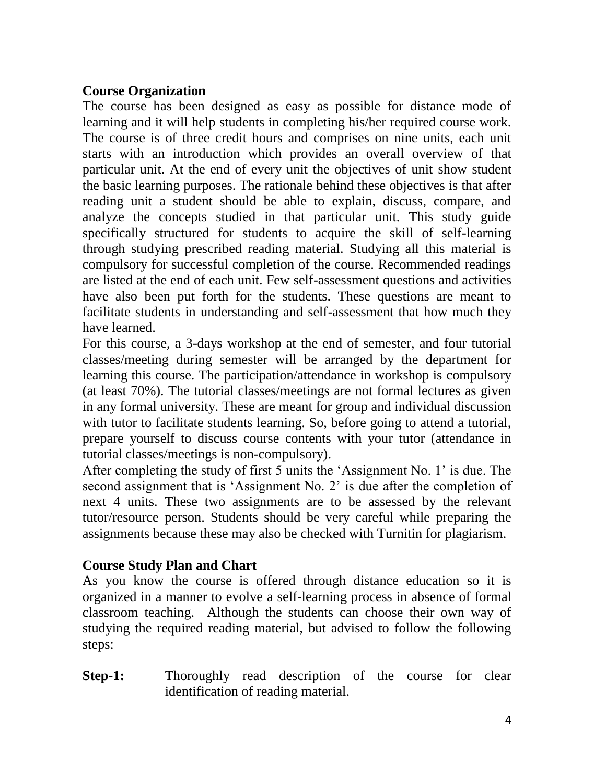# **Course Organization**

The course has been designed as easy as possible for distance mode of learning and it will help students in completing his/her required course work. The course is of three credit hours and comprises on nine units, each unit starts with an introduction which provides an overall overview of that particular unit. At the end of every unit the objectives of unit show student the basic learning purposes. The rationale behind these objectives is that after reading unit a student should be able to explain, discuss, compare, and analyze the concepts studied in that particular unit. This study guide specifically structured for students to acquire the skill of self-learning through studying prescribed reading material. Studying all this material is compulsory for successful completion of the course. Recommended readings are listed at the end of each unit. Few self-assessment questions and activities have also been put forth for the students. These questions are meant to facilitate students in understanding and self-assessment that how much they have learned.

For this course, a 3-days workshop at the end of semester, and four tutorial classes/meeting during semester will be arranged by the department for learning this course. The participation/attendance in workshop is compulsory (at least 70%). The tutorial classes/meetings are not formal lectures as given in any formal university. These are meant for group and individual discussion with tutor to facilitate students learning. So, before going to attend a tutorial, prepare yourself to discuss course contents with your tutor (attendance in tutorial classes/meetings is non-compulsory).

After completing the study of first 5 units the 'Assignment No. 1' is due. The second assignment that is 'Assignment No. 2' is due after the completion of next 4 units. These two assignments are to be assessed by the relevant tutor/resource person. Students should be very careful while preparing the assignments because these may also be checked with Turnitin for plagiarism.

# **Course Study Plan and Chart**

As you know the course is offered through distance education so it is organized in a manner to evolve a self-learning process in absence of formal classroom teaching. Although the students can choose their own way of studying the required reading material, but advised to follow the following steps:

**Step-1:** Thoroughly read description of the course for clear identification of reading material.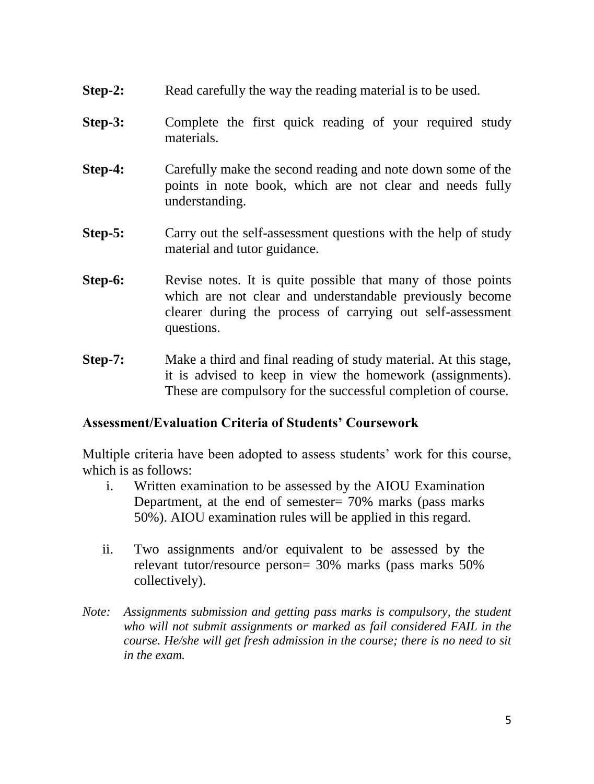- **Step-2:** Read carefully the way the reading material is to be used.
- **Step-3:** Complete the first quick reading of your required study materials.
- **Step-4:** Carefully make the second reading and note down some of the points in note book, which are not clear and needs fully understanding.
- **Step-5:** Carry out the self-assessment questions with the help of study material and tutor guidance.
- **Step-6:** Revise notes. It is quite possible that many of those points which are not clear and understandable previously become clearer during the process of carrying out self-assessment questions.
- **Step-7:** Make a third and final reading of study material. At this stage, it is advised to keep in view the homework (assignments). These are compulsory for the successful completion of course.

#### **Assessment/Evaluation Criteria of Students' Coursework**

Multiple criteria have been adopted to assess students' work for this course, which is as follows:

- i. Written examination to be assessed by the AIOU Examination Department, at the end of semester= 70% marks (pass marks 50%). AIOU examination rules will be applied in this regard.
- ii. Two assignments and/or equivalent to be assessed by the relevant tutor/resource person= 30% marks (pass marks 50% collectively).
- *Note: Assignments submission and getting pass marks is compulsory, the student who will not submit assignments or marked as fail considered FAIL in the course. He/she will get fresh admission in the course; there is no need to sit in the exam.*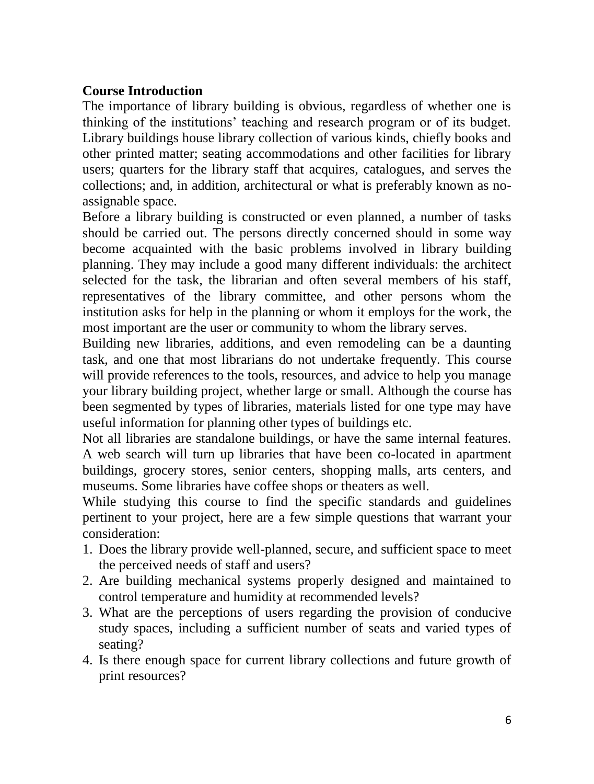# **Course Introduction**

The importance of library building is obvious, regardless of whether one is thinking of the institutions' teaching and research program or of its budget. Library buildings house library collection of various kinds, chiefly books and other printed matter; seating accommodations and other facilities for library users; quarters for the library staff that acquires, catalogues, and serves the collections; and, in addition, architectural or what is preferably known as noassignable space.

Before a library building is constructed or even planned, a number of tasks should be carried out. The persons directly concerned should in some way become acquainted with the basic problems involved in library building planning. They may include a good many different individuals: the architect selected for the task, the librarian and often several members of his staff, representatives of the library committee, and other persons whom the institution asks for help in the planning or whom it employs for the work, the most important are the user or community to whom the library serves.

Building new libraries, additions, and even remodeling can be a daunting task, and one that most librarians do not undertake frequently. This course will provide references to the tools, resources, and advice to help you manage your library building project, whether large or small. Although the course has been segmented by types of libraries, materials listed for one type may have useful information for planning other types of buildings etc.

Not all libraries are standalone buildings, or have the same internal features. A web search will turn up libraries that have been co-located in apartment buildings, grocery stores, senior centers, shopping malls, arts centers, and museums. Some libraries have coffee shops or theaters as well.

While studying this course to find the specific standards and guidelines pertinent to your project, here are a few simple questions that warrant your consideration:

- 1. Does the library provide well-planned, secure, and sufficient space to meet the perceived needs of staff and users?
- 2. Are building mechanical systems properly designed and maintained to control temperature and humidity at recommended levels?
- 3. What are the perceptions of users regarding the provision of conducive study spaces, including a sufficient number of seats and varied types of seating?
- 4. Is there enough space for current library collections and future growth of print resources?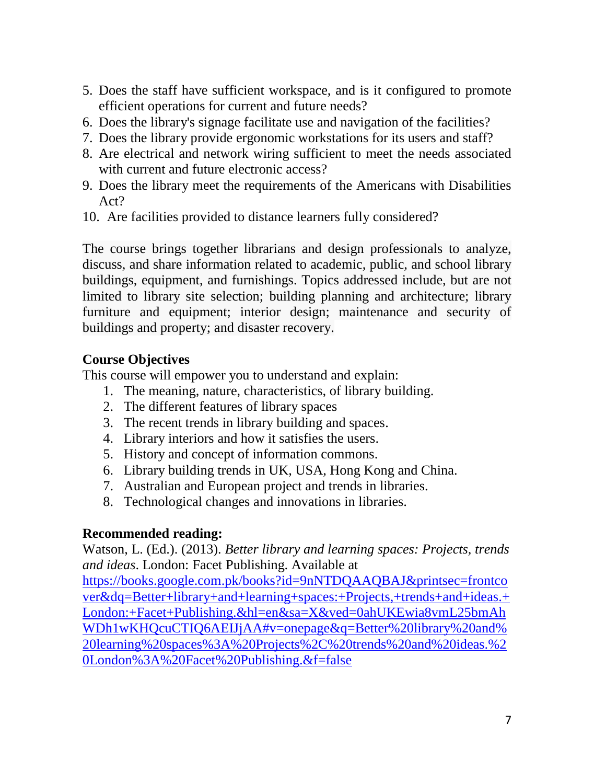- 5. Does the staff have sufficient workspace, and is it configured to promote efficient operations for current and future needs?
- 6. Does the library's signage facilitate use and navigation of the facilities?
- 7. Does the library provide ergonomic workstations for its users and staff?
- 8. Are electrical and network wiring sufficient to meet the needs associated with current and future electronic access?
- 9. Does the library meet the requirements of the Americans with Disabilities Act?
- 10. Are facilities provided to distance learners fully considered?

The course brings together librarians and design professionals to analyze, discuss, and share information related to academic, public, and school library buildings, equipment, and furnishings. Topics addressed include, but are not limited to library site selection; building planning and architecture; library furniture and equipment; interior design; maintenance and security of buildings and property; and disaster recovery.

# **Course Objectives**

This course will empower you to understand and explain:

- 1. The meaning, nature, characteristics, of library building.
- 2. The different features of library spaces
- 3. The recent trends in library building and spaces.
- 4. Library interiors and how it satisfies the users.
- 5. History and concept of information commons.
- 6. Library building trends in UK, USA, Hong Kong and China.
- 7. Australian and European project and trends in libraries.
- 8. Technological changes and innovations in libraries.

# **Recommended reading:**

Watson, L. (Ed.). (2013). *Better library and learning spaces: Projects, trends and ideas*. London: Facet Publishing. Available at

[https://books.google.com.pk/books?id=9nNTDQAAQBAJ&printsec=frontco](https://books.google.com.pk/books?id=9nNTDQAAQBAJ&printsec=frontcover&dq=Better+library+and+learning+spaces:+Projects,+trends+and+ideas.+London:+Facet+Publishing.&hl=en&sa=X&ved=0ahUKEwia8vmL25bmAhWDh1wKHQcuCTIQ6AEIJjAA#v=onepage&q=Better%20library%20and%20learning%20spaces%3A%20Projects%2C%20trends%20and%20ideas.%20London%3A%20Facet%20Publishing.&f=false) [ver&dq=Better+library+and+learning+spaces:+Projects,+trends+and+ideas.+](https://books.google.com.pk/books?id=9nNTDQAAQBAJ&printsec=frontcover&dq=Better+library+and+learning+spaces:+Projects,+trends+and+ideas.+London:+Facet+Publishing.&hl=en&sa=X&ved=0ahUKEwia8vmL25bmAhWDh1wKHQcuCTIQ6AEIJjAA#v=onepage&q=Better%20library%20and%20learning%20spaces%3A%20Projects%2C%20trends%20and%20ideas.%20London%3A%20Facet%20Publishing.&f=false) [London:+Facet+Publishing.&hl=en&sa=X&ved=0ahUKEwia8vmL25bmAh](https://books.google.com.pk/books?id=9nNTDQAAQBAJ&printsec=frontcover&dq=Better+library+and+learning+spaces:+Projects,+trends+and+ideas.+London:+Facet+Publishing.&hl=en&sa=X&ved=0ahUKEwia8vmL25bmAhWDh1wKHQcuCTIQ6AEIJjAA#v=onepage&q=Better%20library%20and%20learning%20spaces%3A%20Projects%2C%20trends%20and%20ideas.%20London%3A%20Facet%20Publishing.&f=false) [WDh1wKHQcuCTIQ6AEIJjAA#v=onepage&q=Better%20library%20and%](https://books.google.com.pk/books?id=9nNTDQAAQBAJ&printsec=frontcover&dq=Better+library+and+learning+spaces:+Projects,+trends+and+ideas.+London:+Facet+Publishing.&hl=en&sa=X&ved=0ahUKEwia8vmL25bmAhWDh1wKHQcuCTIQ6AEIJjAA#v=onepage&q=Better%20library%20and%20learning%20spaces%3A%20Projects%2C%20trends%20and%20ideas.%20London%3A%20Facet%20Publishing.&f=false) [20learning%20spaces%3A%20Projects%2C%20trends%20and%20ideas.%2](https://books.google.com.pk/books?id=9nNTDQAAQBAJ&printsec=frontcover&dq=Better+library+and+learning+spaces:+Projects,+trends+and+ideas.+London:+Facet+Publishing.&hl=en&sa=X&ved=0ahUKEwia8vmL25bmAhWDh1wKHQcuCTIQ6AEIJjAA#v=onepage&q=Better%20library%20and%20learning%20spaces%3A%20Projects%2C%20trends%20and%20ideas.%20London%3A%20Facet%20Publishing.&f=false) [0London%3A%20Facet%20Publishing.&f=false](https://books.google.com.pk/books?id=9nNTDQAAQBAJ&printsec=frontcover&dq=Better+library+and+learning+spaces:+Projects,+trends+and+ideas.+London:+Facet+Publishing.&hl=en&sa=X&ved=0ahUKEwia8vmL25bmAhWDh1wKHQcuCTIQ6AEIJjAA#v=onepage&q=Better%20library%20and%20learning%20spaces%3A%20Projects%2C%20trends%20and%20ideas.%20London%3A%20Facet%20Publishing.&f=false)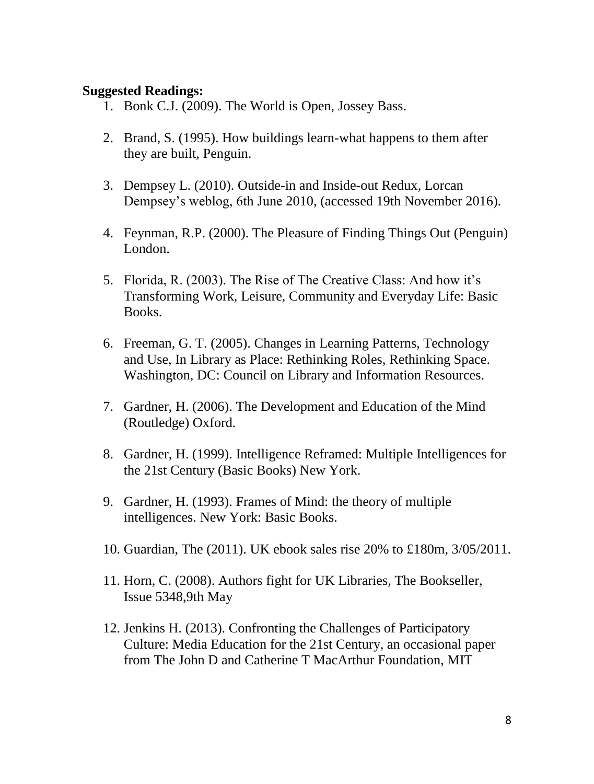#### **Suggested Readings:**

- 1. Bonk C.J. (2009). The World is Open, Jossey Bass.
- 2. Brand, S. (1995). How buildings learn-what happens to them after they are built, Penguin.
- 3. Dempsey L. (2010). Outside-in and Inside-out Redux, Lorcan Dempsey's weblog, 6th June 2010, (accessed 19th November 2016).
- 4. Feynman, R.P. (2000). The Pleasure of Finding Things Out (Penguin) London.
- 5. Florida, R. (2003). The Rise of The Creative Class: And how it's Transforming Work, Leisure, Community and Everyday Life: Basic Books.
- 6. Freeman, G. T. (2005). Changes in Learning Patterns, Technology and Use, In Library as Place: Rethinking Roles, Rethinking Space. Washington, DC: Council on Library and Information Resources.
- 7. Gardner, H. (2006). The Development and Education of the Mind (Routledge) Oxford.
- 8. Gardner, H. (1999). Intelligence Reframed: Multiple Intelligences for the 21st Century (Basic Books) New York.
- 9. Gardner, H. (1993). Frames of Mind: the theory of multiple intelligences. New York: Basic Books.
- 10. Guardian, The (2011). UK ebook sales rise 20% to £180m, 3/05/2011.
- 11. Horn, C. (2008). Authors fight for UK Libraries, The Bookseller, Issue 5348,9th May
- 12. Jenkins H. (2013). Confronting the Challenges of Participatory Culture: Media Education for the 21st Century, an occasional paper from The John D and Catherine T MacArthur Foundation, MIT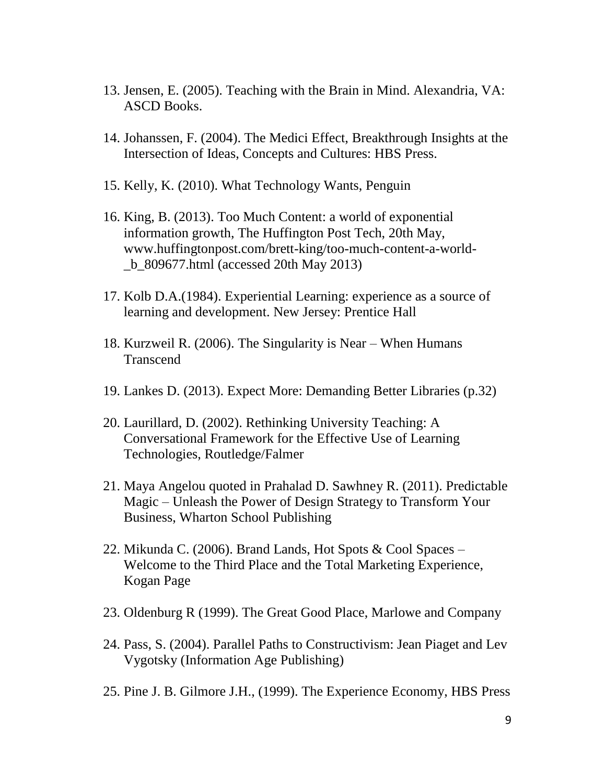- 13. Jensen, E. (2005). Teaching with the Brain in Mind. Alexandria, VA: ASCD Books.
- 14. Johanssen, F. (2004). The Medici Effect, Breakthrough Insights at the Intersection of Ideas, Concepts and Cultures: HBS Press.
- 15. Kelly, K. (2010). What Technology Wants, Penguin
- 16. King, B. (2013). Too Much Content: a world of exponential information growth, The Huffington Post Tech, 20th May, www.huffingtonpost.com/brett-king/too-much-content-a-world- \_b\_809677.html (accessed 20th May 2013)
- 17. Kolb D.A.(1984). Experiential Learning: experience as a source of learning and development. New Jersey: Prentice Hall
- 18. Kurzweil R. (2006). The Singularity is Near When Humans **Transcend**
- 19. Lankes D. (2013). Expect More: Demanding Better Libraries (p.32)
- 20. Laurillard, D. (2002). Rethinking University Teaching: A Conversational Framework for the Effective Use of Learning Technologies, Routledge/Falmer
- 21. Maya Angelou quoted in Prahalad D. Sawhney R. (2011). Predictable Magic – Unleash the Power of Design Strategy to Transform Your Business, Wharton School Publishing
- 22. Mikunda C. (2006). Brand Lands, Hot Spots & Cool Spaces Welcome to the Third Place and the Total Marketing Experience, Kogan Page
- 23. Oldenburg R (1999). The Great Good Place, Marlowe and Company
- 24. Pass, S. (2004). Parallel Paths to Constructivism: Jean Piaget and Lev Vygotsky (Information Age Publishing)
- 25. Pine J. B. Gilmore J.H., (1999). The Experience Economy, HBS Press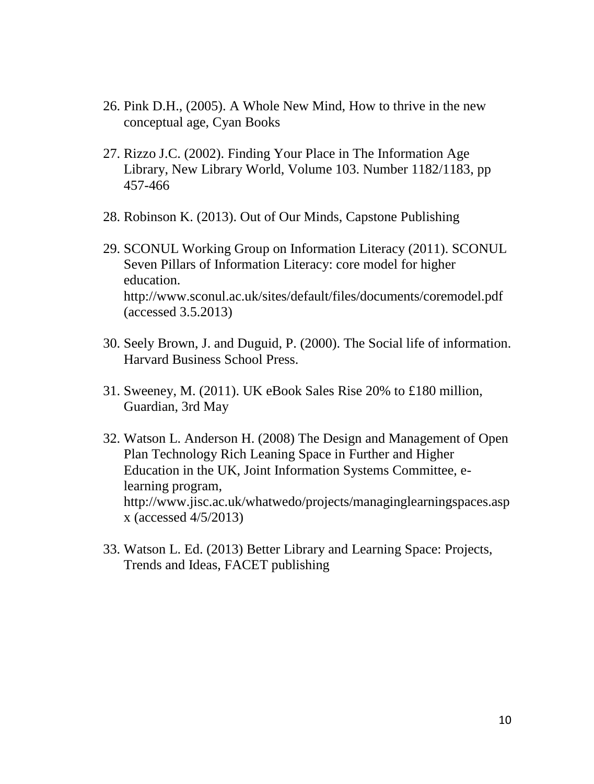- 26. Pink D.H., (2005). A Whole New Mind, How to thrive in the new conceptual age, Cyan Books
- 27. Rizzo J.C. (2002). Finding Your Place in The Information Age Library, New Library World, Volume 103. Number 1182/1183, pp 457-466
- 28. Robinson K. (2013). Out of Our Minds, Capstone Publishing
- 29. SCONUL Working Group on Information Literacy (2011). SCONUL Seven Pillars of Information Literacy: core model for higher education. http://www.sconul.ac.uk/sites/default/files/documents/coremodel.pdf (accessed 3.5.2013)
- 30. Seely Brown, J. and Duguid, P. (2000). The Social life of information. Harvard Business School Press.
- 31. Sweeney, M. (2011). UK eBook Sales Rise 20% to £180 million, Guardian, 3rd May
- 32. Watson L. Anderson H. (2008) The Design and Management of Open Plan Technology Rich Leaning Space in Further and Higher Education in the UK, Joint Information Systems Committee, elearning program, http://www.jisc.ac.uk/whatwedo/projects/managinglearningspaces.asp x (accessed 4/5/2013)
- 33. Watson L. Ed. (2013) Better Library and Learning Space: Projects, Trends and Ideas, FACET publishing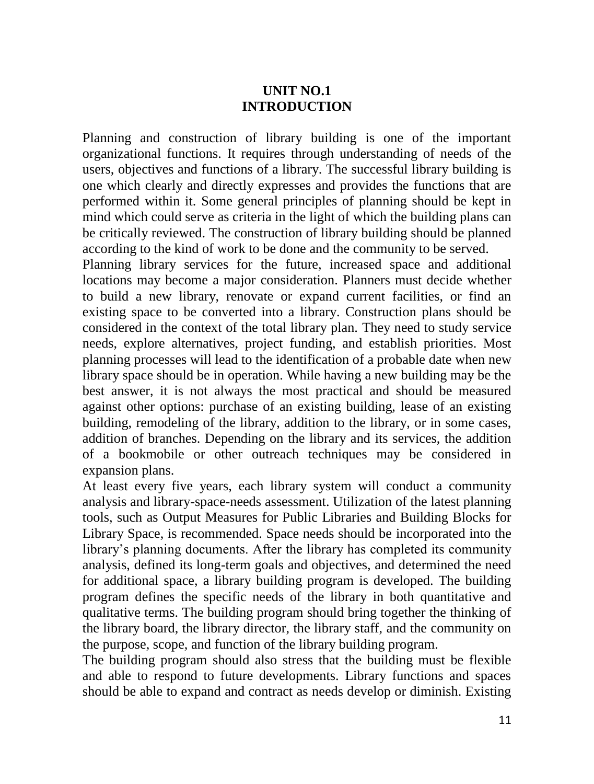# **UNIT NO.1 INTRODUCTION**

Planning and construction of library building is one of the important organizational functions. It requires through understanding of needs of the users, objectives and functions of a library. The successful library building is one which clearly and directly expresses and provides the functions that are performed within it. Some general principles of planning should be kept in mind which could serve as criteria in the light of which the building plans can be critically reviewed. The construction of library building should be planned according to the kind of work to be done and the community to be served.

Planning library services for the future, increased space and additional locations may become a major consideration. Planners must decide whether to build a new library, renovate or expand current facilities, or find an existing space to be converted into a library. Construction plans should be considered in the context of the total library plan. They need to study service needs, explore alternatives, project funding, and establish priorities. Most planning processes will lead to the identification of a probable date when new library space should be in operation. While having a new building may be the best answer, it is not always the most practical and should be measured against other options: purchase of an existing building, lease of an existing building, remodeling of the library, addition to the library, or in some cases, addition of branches. Depending on the library and its services, the addition of a bookmobile or other outreach techniques may be considered in expansion plans.

At least every five years, each library system will conduct a community analysis and library-space-needs assessment. Utilization of the latest planning tools, such as Output Measures for Public Libraries and Building Blocks for Library Space, is recommended. Space needs should be incorporated into the library's planning documents. After the library has completed its community analysis, defined its long-term goals and objectives, and determined the need for additional space, a library building program is developed. The building program defines the specific needs of the library in both quantitative and qualitative terms. The building program should bring together the thinking of the library board, the library director, the library staff, and the community on the purpose, scope, and function of the library building program.

The building program should also stress that the building must be flexible and able to respond to future developments. Library functions and spaces should be able to expand and contract as needs develop or diminish. Existing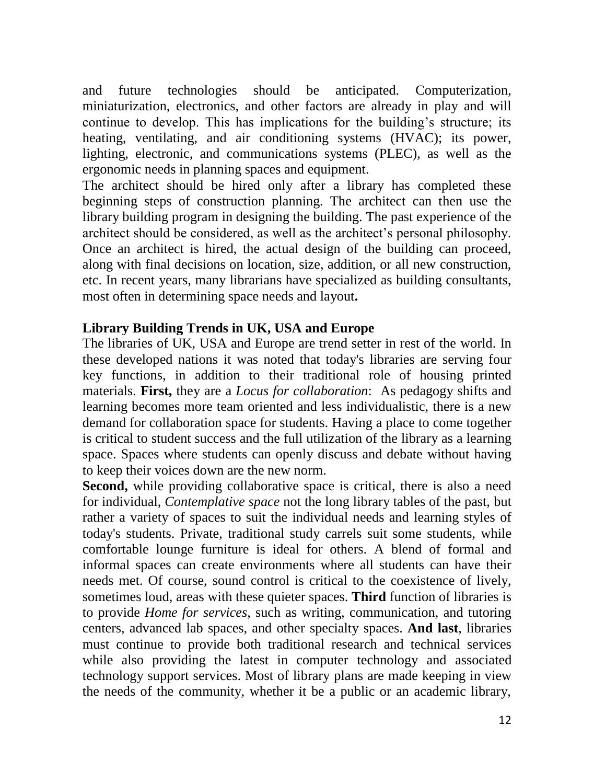and future technologies should be anticipated. Computerization, miniaturization, electronics, and other factors are already in play and will continue to develop. This has implications for the building's structure; its heating, ventilating, and air conditioning systems (HVAC); its power, lighting, electronic, and communications systems (PLEC), as well as the ergonomic needs in planning spaces and equipment.

The architect should be hired only after a library has completed these beginning steps of construction planning. The architect can then use the library building program in designing the building. The past experience of the architect should be considered, as well as the architect's personal philosophy. Once an architect is hired, the actual design of the building can proceed, along with final decisions on location, size, addition, or all new construction, etc. In recent years, many librarians have specialized as building consultants, most often in determining space needs and layout**.**

# **Library Building Trends in UK, USA and Europe**

The libraries of UK, USA and Europe are trend setter in rest of the world. In these developed nations it was noted that today's libraries are serving four key functions, in addition to their traditional role of housing printed materials. **First,** they are a *Locus for collaboration*: As pedagogy shifts and learning becomes more team oriented and less individualistic, there is a new demand for collaboration space for students. Having a place to come together is critical to student success and the full utilization of the library as a learning space. Spaces where students can openly discuss and debate without having to keep their voices down are the new norm.

**Second,** while providing collaborative space is critical, there is also a need for individual, *Contemplative space* not the long library tables of the past, but rather a variety of spaces to suit the individual needs and learning styles of today's students. Private, traditional study carrels suit some students, while comfortable lounge furniture is ideal for others. A blend of formal and informal spaces can create environments where all students can have their needs met. Of course, sound control is critical to the coexistence of lively, sometimes loud, areas with these quieter spaces. **Third** function of libraries is to provide *Home for services*, such as writing, communication, and tutoring centers, advanced lab spaces, and other specialty spaces. **And last**, libraries must continue to provide both traditional research and technical services while also providing the latest in computer technology and associated technology support services. Most of library plans are made keeping in view the needs of the community, whether it be a public or an academic library,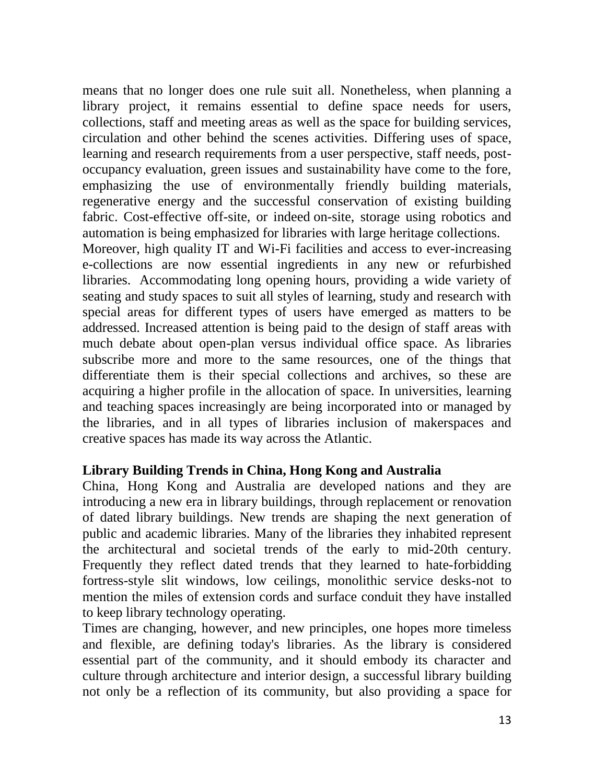means that no longer does one rule suit all. Nonetheless, when planning a library project, it remains essential to define space needs for users, collections, staff and meeting areas as well as the space for building services, circulation and other behind the scenes activities. Differing uses of space, learning and research requirements from a user perspective, staff needs, postoccupancy evaluation, green issues and sustainability have come to the fore, emphasizing the use of environmentally friendly building materials, regenerative energy and the successful conservation of existing building fabric. Cost-effective off-site, or indeed on-site, storage using robotics and automation is being emphasized for libraries with large heritage collections.

Moreover, high quality IT and Wi-Fi facilities and access to ever-increasing e-collections are now essential ingredients in any new or refurbished libraries. Accommodating long opening hours, providing a wide variety of seating and study spaces to suit all styles of learning, study and research with special areas for different types of users have emerged as matters to be addressed. Increased attention is being paid to the design of staff areas with much debate about open-plan versus individual office space. As libraries subscribe more and more to the same resources, one of the things that differentiate them is their special collections and archives, so these are acquiring a higher profile in the allocation of space. In universities, learning and teaching spaces increasingly are being incorporated into or managed by the libraries, and in all types of libraries inclusion of makerspaces and creative spaces has made its way across the Atlantic.

# **Library Building Trends in China, Hong Kong and Australia**

China, Hong Kong and Australia are developed nations and they are introducing a new era in library buildings, through replacement or renovation of dated library buildings. New trends are shaping the next generation of public and academic libraries. Many of the libraries they inhabited represent the architectural and societal trends of the early to mid-20th century. Frequently they reflect dated trends that they learned to hate-forbidding fortress-style slit windows, low ceilings, monolithic service desks-not to mention the miles of extension cords and surface conduit they have installed to keep library technology operating.

Times are changing, however, and new principles, one hopes more timeless and flexible, are defining today's libraries. As the library is considered essential part of the community, and it should embody its character and culture through architecture and interior design, a successful library building not only be a reflection of its community, but also providing a space for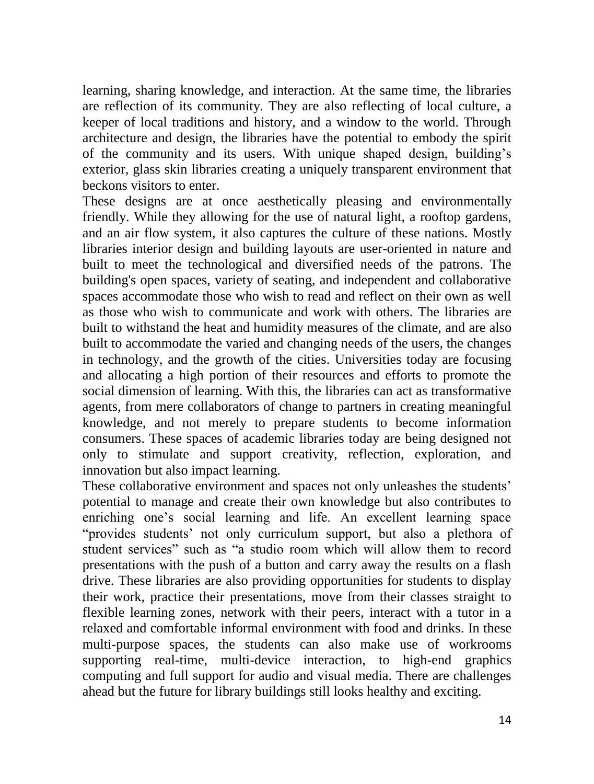learning, sharing knowledge, and interaction. At the same time, the libraries are reflection of its community. They are also reflecting of local culture, a keeper of local traditions and history, and a window to the world. Through architecture and design, the libraries have the potential to embody the spirit of the community and its users. With unique shaped design, building's exterior, glass skin libraries creating a uniquely transparent environment that beckons visitors to enter.

These designs are at once aesthetically pleasing and environmentally friendly. While they allowing for the use of natural light, a rooftop gardens, and an air flow system, it also captures the culture of these nations. Mostly libraries interior design and building layouts are user-oriented in nature and built to meet the technological and diversified needs of the patrons. The building's open spaces, variety of seating, and independent and collaborative spaces accommodate those who wish to read and reflect on their own as well as those who wish to communicate and work with others. The libraries are built to withstand the heat and humidity measures of the climate, and are also built to accommodate the varied and changing needs of the users, the changes in technology, and the growth of the cities. Universities today are focusing and allocating a high portion of their resources and efforts to promote the social dimension of learning. With this, the libraries can act as transformative agents, from mere collaborators of change to partners in creating meaningful knowledge, and not merely to prepare students to become information consumers. These spaces of academic libraries today are being designed not only to stimulate and support creativity, reflection, exploration, and innovation but also impact learning.

These collaborative environment and spaces not only unleashes the students' potential to manage and create their own knowledge but also contributes to enriching one's social learning and life. An excellent learning space "provides students' not only curriculum support, but also a plethora of student services" such as "a studio room which will allow them to record presentations with the push of a button and carry away the results on a flash drive. These libraries are also providing opportunities for students to display their work, practice their presentations, move from their classes straight to flexible learning zones, network with their peers, interact with a tutor in a relaxed and comfortable informal environment with food and drinks. In these multi-purpose spaces, the students can also make use of workrooms supporting real-time, multi-device interaction, to high-end graphics computing and full support for audio and visual media. There are challenges ahead but the future for library buildings still looks healthy and exciting.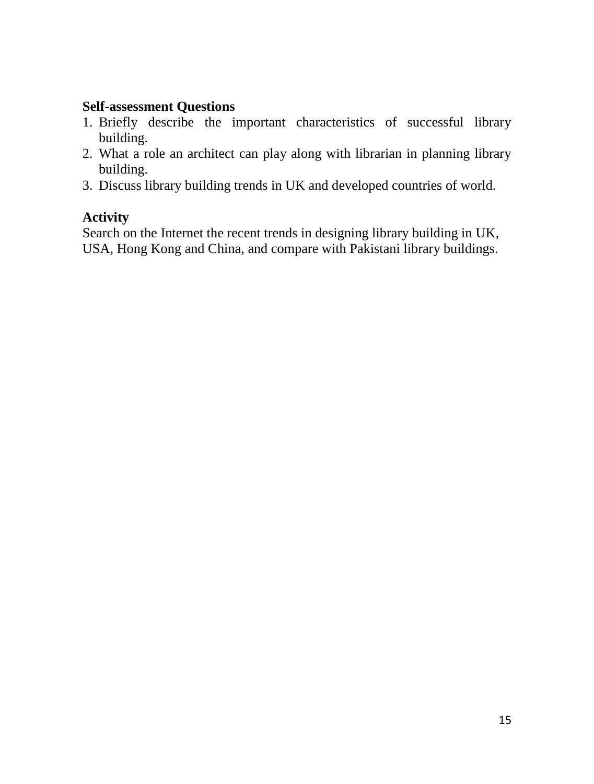## **Self-assessment Questions**

- 1. Briefly describe the important characteristics of successful library building.
- 2. What a role an architect can play along with librarian in planning library building.
- 3. Discuss library building trends in UK and developed countries of world.

# **Activity**

Search on the Internet the recent trends in designing library building in UK, USA, Hong Kong and China, and compare with Pakistani library buildings.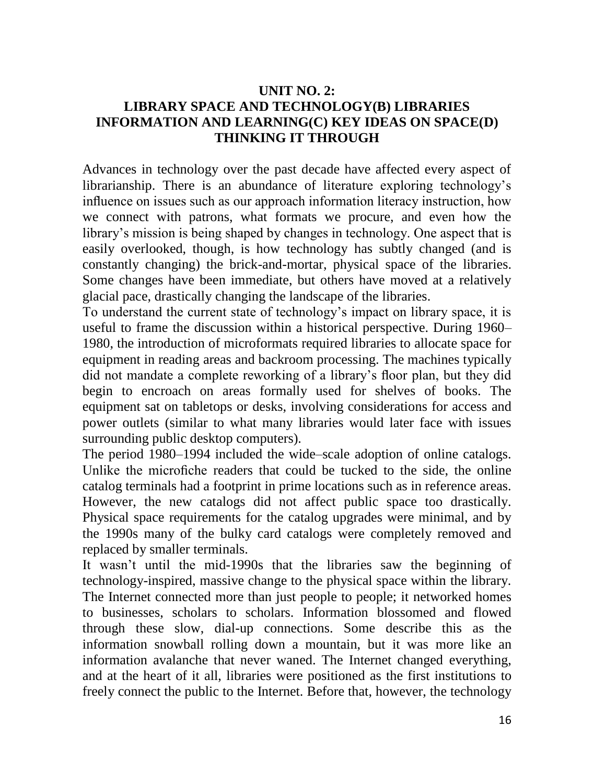# **UNIT NO. 2: LIBRARY SPACE AND TECHNOLOGY(B) LIBRARIES INFORMATION AND LEARNING(C) KEY IDEAS ON SPACE(D) THINKING IT THROUGH**

Advances in technology over the past decade have affected every aspect of librarianship. There is an abundance of literature exploring technology's influence on issues such as our approach information literacy instruction, how we connect with patrons, what formats we procure, and even how the library's mission is being shaped by changes in technology. One aspect that is easily overlooked, though, is how technology has subtly changed (and is constantly changing) the brick-and-mortar, physical space of the libraries. Some changes have been immediate, but others have moved at a relatively glacial pace, drastically changing the landscape of the libraries.

To understand the current state of technology's impact on library space, it is useful to frame the discussion within a historical perspective. During 1960– 1980, the introduction of microformats required libraries to allocate space for equipment in reading areas and backroom processing. The machines typically did not mandate a complete reworking of a library's floor plan, but they did begin to encroach on areas formally used for shelves of books. The equipment sat on tabletops or desks, involving considerations for access and power outlets (similar to what many libraries would later face with issues surrounding public desktop computers).

The period 1980–1994 included the wide–scale adoption of online catalogs. Unlike the microfiche readers that could be tucked to the side, the online catalog terminals had a footprint in prime locations such as in reference areas. However, the new catalogs did not affect public space too drastically. Physical space requirements for the catalog upgrades were minimal, and by the 1990s many of the bulky card catalogs were completely removed and replaced by smaller terminals.

It wasn't until the mid-1990s that the libraries saw the beginning of technology-inspired, massive change to the physical space within the library. The Internet connected more than just people to people; it networked homes to businesses, scholars to scholars. Information blossomed and flowed through these slow, dial-up connections. Some describe this as the information snowball rolling down a mountain, but it was more like an information avalanche that never waned. The Internet changed everything, and at the heart of it all, libraries were positioned as the first institutions to freely connect the public to the Internet. Before that, however, the technology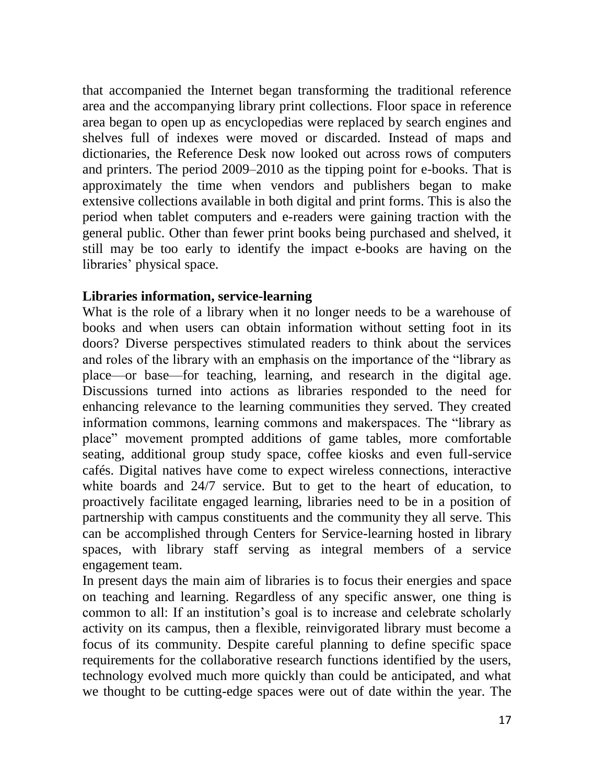that accompanied the Internet began transforming the traditional reference area and the accompanying library print collections. Floor space in reference area began to open up as encyclopedias were replaced by search engines and shelves full of indexes were moved or discarded. Instead of maps and dictionaries, the Reference Desk now looked out across rows of computers and printers. The period 2009–2010 as the tipping point for e-books. That is approximately the time when vendors and publishers began to make extensive collections available in both digital and print forms. This is also the period when tablet computers and e-readers were gaining traction with the general public. Other than fewer print books being purchased and shelved, it still may be too early to identify the impact e-books are having on the libraries' physical space.

# **Libraries information, service-learning**

What is the role of a library when it no longer needs to be a warehouse of books and when users can obtain information without setting foot in its doors? Diverse perspectives stimulated readers to think about the services and roles of the library with an emphasis on the importance of the "library as place—or base—for teaching, learning, and research in the digital age. Discussions turned into actions as libraries responded to the need for enhancing relevance to the learning communities they served. They created information commons, learning commons and makerspaces. The "library as place" movement prompted additions of game tables, more comfortable seating, additional group study space, coffee kiosks and even full-service cafés. Digital natives have come to expect wireless connections, interactive white boards and 24/7 service. But to get to the heart of education, to proactively facilitate engaged learning, libraries need to be in a position of partnership with campus constituents and the community they all serve. This can be accomplished through Centers for Service-learning hosted in library spaces, with library staff serving as integral members of a service engagement team.

In present days the main aim of libraries is to focus their energies and space on teaching and learning. Regardless of any specific answer, one thing is common to all: If an institution's goal is to increase and celebrate scholarly activity on its campus, then a flexible, reinvigorated library must become a focus of its community. Despite careful planning to define specific space requirements for the collaborative research functions identified by the users, technology evolved much more quickly than could be anticipated, and what we thought to be cutting-edge spaces were out of date within the year. The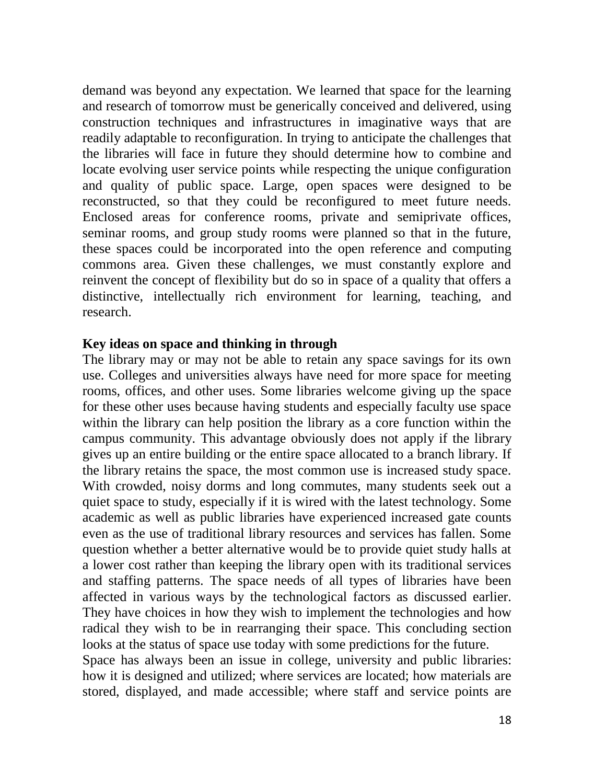demand was beyond any expectation. We learned that space for the learning and research of tomorrow must be generically conceived and delivered, using construction techniques and infrastructures in imaginative ways that are readily adaptable to reconfiguration. In trying to anticipate the challenges that the libraries will face in future they should determine how to combine and locate evolving user service points while respecting the unique configuration and quality of public space. Large, open spaces were designed to be reconstructed, so that they could be reconfigured to meet future needs. Enclosed areas for conference rooms, private and semiprivate offices, seminar rooms, and group study rooms were planned so that in the future, these spaces could be incorporated into the open reference and computing commons area. Given these challenges, we must constantly explore and reinvent the concept of flexibility but do so in space of a quality that offers a distinctive, intellectually rich environment for learning, teaching, and research.

#### **Key ideas on space and thinking in through**

The library may or may not be able to retain any space savings for its own use. Colleges and universities always have need for more space for meeting rooms, offices, and other uses. Some libraries welcome giving up the space for these other uses because having students and especially faculty use space within the library can help position the library as a core function within the campus community. This advantage obviously does not apply if the library gives up an entire building or the entire space allocated to a branch library. If the library retains the space, the most common use is increased study space. With crowded, noisy dorms and long commutes, many students seek out a quiet space to study, especially if it is wired with the latest technology. Some academic as well as public libraries have experienced increased gate counts even as the use of traditional library resources and services has fallen. Some question whether a better alternative would be to provide quiet study halls at a lower cost rather than keeping the library open with its traditional services and staffing patterns. The space needs of all types of libraries have been affected in various ways by the technological factors as discussed earlier. They have choices in how they wish to implement the technologies and how radical they wish to be in rearranging their space. This concluding section looks at the status of space use today with some predictions for the future.

Space has always been an issue in college, university and public libraries: how it is designed and utilized; where services are located; how materials are stored, displayed, and made accessible; where staff and service points are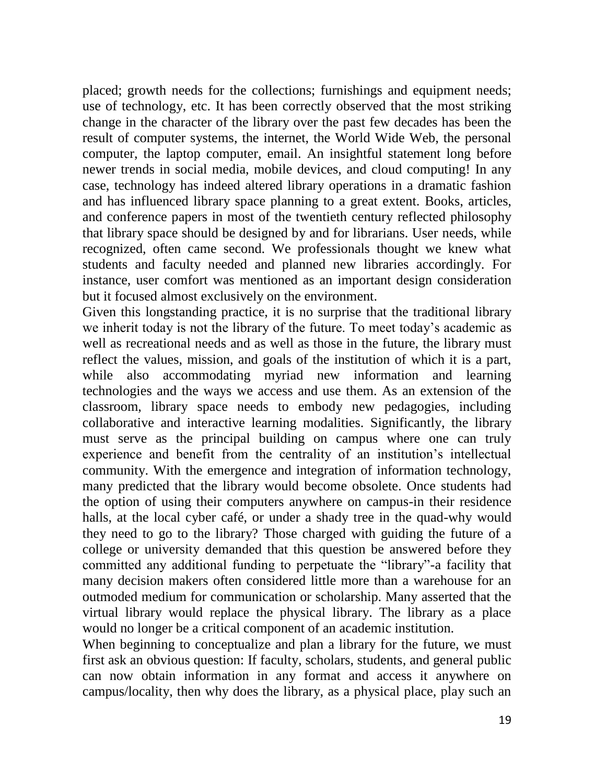placed; growth needs for the collections; furnishings and equipment needs; use of technology, etc. It has been correctly observed that the most striking change in the character of the library over the past few decades has been the result of computer systems, the internet, the World Wide Web, the personal computer, the laptop computer, email. An insightful statement long before newer trends in social media, mobile devices, and cloud computing! In any case, technology has indeed altered library operations in a dramatic fashion and has influenced library space planning to a great extent. Books, articles, and conference papers in most of the twentieth century reflected philosophy that library space should be designed by and for librarians. User needs, while recognized, often came second. We professionals thought we knew what students and faculty needed and planned new libraries accordingly. For instance, user comfort was mentioned as an important design consideration but it focused almost exclusively on the environment.

Given this longstanding practice, it is no surprise that the traditional library we inherit today is not the library of the future. To meet today's academic as well as recreational needs and as well as those in the future, the library must reflect the values, mission, and goals of the institution of which it is a part, while also accommodating myriad new information and learning technologies and the ways we access and use them. As an extension of the classroom, library space needs to embody new pedagogies, including collaborative and interactive learning modalities. Significantly, the library must serve as the principal building on campus where one can truly experience and benefit from the centrality of an institution's intellectual community. With the emergence and integration of information technology, many predicted that the library would become obsolete. Once students had the option of using their computers anywhere on campus-in their residence halls, at the local cyber café, or under a shady tree in the quad-why would they need to go to the library? Those charged with guiding the future of a college or university demanded that this question be answered before they committed any additional funding to perpetuate the "library"-a facility that many decision makers often considered little more than a warehouse for an outmoded medium for communication or scholarship. Many asserted that the virtual library would replace the physical library. The library as a place would no longer be a critical component of an academic institution.

When beginning to conceptualize and plan a library for the future, we must first ask an obvious question: If faculty, scholars, students, and general public can now obtain information in any format and access it anywhere on campus/locality, then why does the library, as a physical place, play such an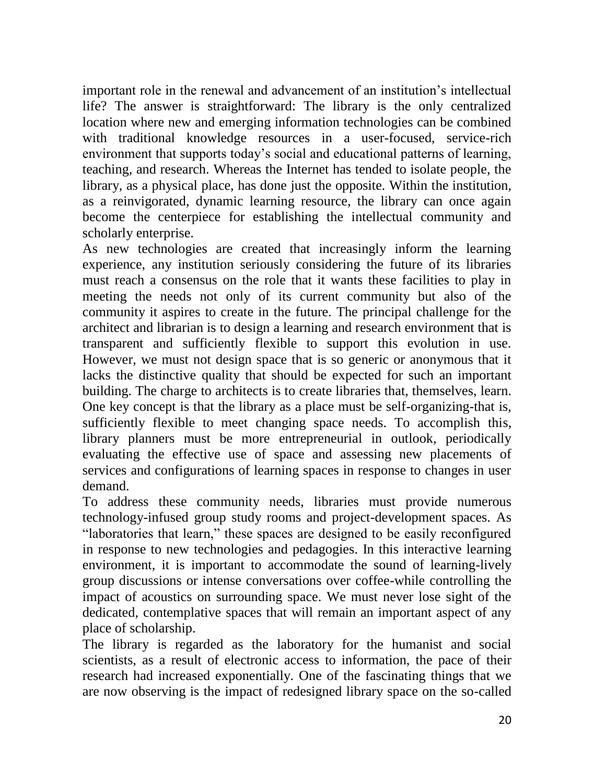important role in the renewal and advancement of an institution's intellectual life? The answer is straightforward: The library is the only centralized location where new and emerging information technologies can be combined with traditional knowledge resources in a user-focused, service-rich environment that supports today's social and educational patterns of learning, teaching, and research. Whereas the Internet has tended to isolate people, the library, as a physical place, has done just the opposite. Within the institution, as a reinvigorated, dynamic learning resource, the library can once again become the centerpiece for establishing the intellectual community and scholarly enterprise.

As new technologies are created that increasingly inform the learning experience, any institution seriously considering the future of its libraries must reach a consensus on the role that it wants these facilities to play in meeting the needs not only of its current community but also of the community it aspires to create in the future. The principal challenge for the architect and librarian is to design a learning and research environment that is transparent and sufficiently flexible to support this evolution in use. However, we must not design space that is so generic or anonymous that it lacks the distinctive quality that should be expected for such an important building. The charge to architects is to create libraries that, themselves, learn. One key concept is that the library as a place must be self-organizing-that is, sufficiently flexible to meet changing space needs. To accomplish this, library planners must be more entrepreneurial in outlook, periodically evaluating the effective use of space and assessing new placements of services and configurations of learning spaces in response to changes in user demand.

To address these community needs, libraries must provide numerous technology-infused group study rooms and project-development spaces. As "laboratories that learn," these spaces are designed to be easily reconfigured in response to new technologies and pedagogies. In this interactive learning environment, it is important to accommodate the sound of learning-lively group discussions or intense conversations over coffee-while controlling the impact of acoustics on surrounding space. We must never lose sight of the dedicated, contemplative spaces that will remain an important aspect of any place of scholarship.

The library is regarded as the laboratory for the humanist and social scientists, as a result of electronic access to information, the pace of their research had increased exponentially. One of the fascinating things that we are now observing is the impact of redesigned library space on the so-called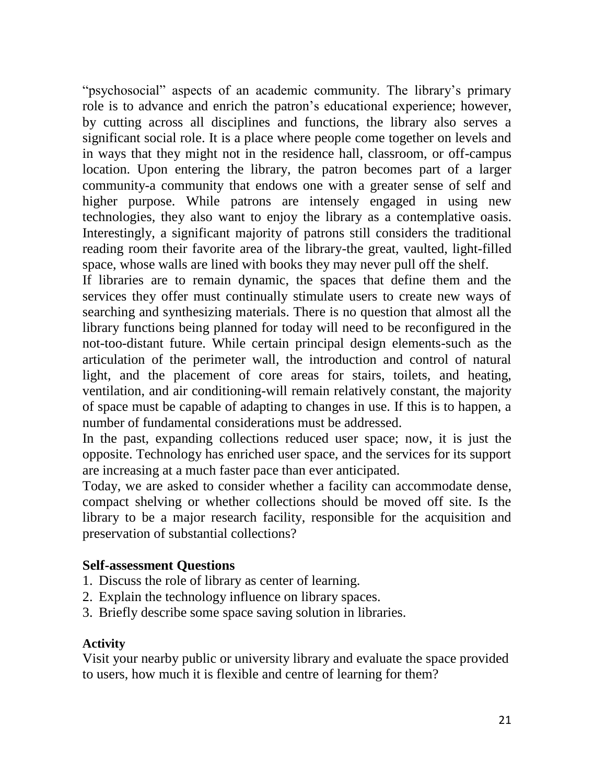"psychosocial" aspects of an academic community. The library's primary role is to advance and enrich the patron's educational experience; however, by cutting across all disciplines and functions, the library also serves a significant social role. It is a place where people come together on levels and in ways that they might not in the residence hall, classroom, or off-campus location. Upon entering the library, the patron becomes part of a larger community-a community that endows one with a greater sense of self and higher purpose. While patrons are intensely engaged in using new technologies, they also want to enjoy the library as a contemplative oasis. Interestingly, a significant majority of patrons still considers the traditional reading room their favorite area of the library-the great, vaulted, light-filled space, whose walls are lined with books they may never pull off the shelf.

If libraries are to remain dynamic, the spaces that define them and the services they offer must continually stimulate users to create new ways of searching and synthesizing materials. There is no question that almost all the library functions being planned for today will need to be reconfigured in the not-too-distant future. While certain principal design elements-such as the articulation of the perimeter wall, the introduction and control of natural light, and the placement of core areas for stairs, toilets, and heating, ventilation, and air conditioning-will remain relatively constant, the majority of space must be capable of adapting to changes in use. If this is to happen, a number of fundamental considerations must be addressed.

In the past, expanding collections reduced user space; now, it is just the opposite. Technology has enriched user space, and the services for its support are increasing at a much faster pace than ever anticipated.

Today, we are asked to consider whether a facility can accommodate dense, compact shelving or whether collections should be moved off site. Is the library to be a major research facility, responsible for the acquisition and preservation of substantial collections?

# **Self-assessment Questions**

- 1. Discuss the role of library as center of learning.
- 2. Explain the technology influence on library spaces.
- 3. Briefly describe some space saving solution in libraries.

#### **Activity**

Visit your nearby public or university library and evaluate the space provided to users, how much it is flexible and centre of learning for them?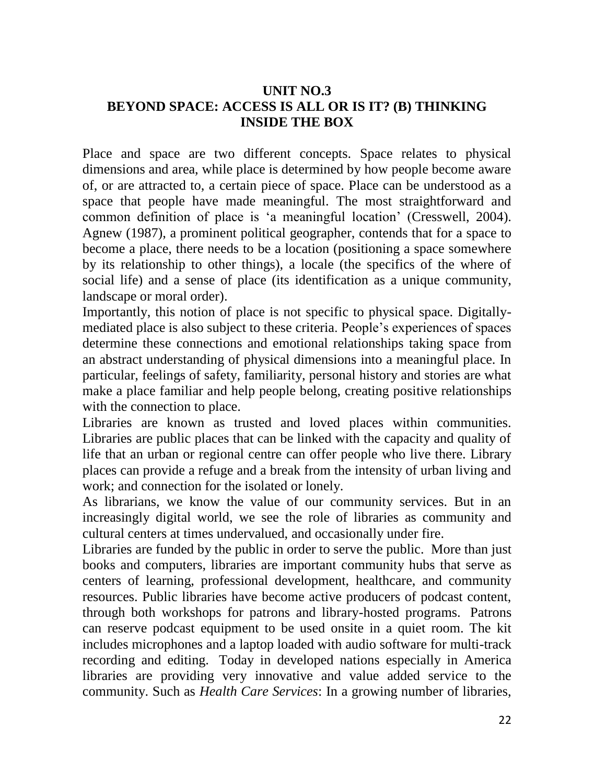# **UNIT NO.3 BEYOND SPACE: ACCESS IS ALL OR IS IT? (B) THINKING INSIDE THE BOX**

Place and space are two different concepts. Space relates to physical dimensions and area, while place is determined by how people become aware of, or are attracted to, a certain piece of space. Place can be understood as a space that people have made meaningful. The most straightforward and common definition of place is 'a meaningful location' (Cresswell, 2004). Agnew (1987), a prominent political geographer, contends that for a space to become a place, there needs to be a location (positioning a space somewhere by its relationship to other things), a locale (the specifics of the where of social life) and a sense of place (its identification as a unique community, landscape or moral order).

Importantly, this notion of place is not specific to physical space. Digitallymediated place is also subject to these criteria. People's experiences of spaces determine these connections and emotional relationships taking space from an abstract understanding of physical dimensions into a meaningful place. In particular, feelings of safety, familiarity, personal history and stories are what make a place familiar and help people belong, creating positive relationships with the connection to place.

Libraries are known as trusted and loved places within communities. Libraries are public places that can be linked with the capacity and quality of life that an urban or regional centre can offer people who live there. Library places can provide a refuge and a break from the intensity of urban living and work; and connection for the isolated or lonely.

As librarians, we know the value of our community services. But in an increasingly digital world, we see the role of libraries as community and cultural centers at times undervalued, and occasionally under fire.

Libraries are funded by the public in order to serve the public. More than just books and computers, libraries are important community hubs that serve as centers of learning, professional development, healthcare, and community resources. Public libraries have become active producers of podcast content, through both workshops for patrons and library-hosted programs. Patrons can reserve podcast equipment to be used onsite in a quiet room. The kit includes microphones and a laptop loaded with audio software for multi-track recording and editing. Today in developed nations especially in America libraries are providing very innovative and value added service to the community. Such as *Health Care Services*: In a growing number of libraries,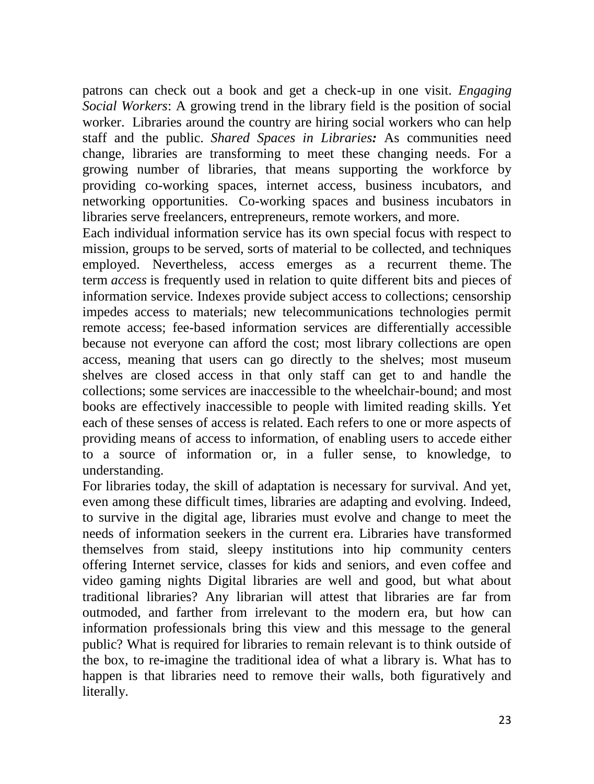patrons can check out a book and get a check-up in one visit. *Engaging Social Workers*: A growing trend in the library field is the position of social worker. Libraries around the country are hiring social workers who can help staff and the public. *Shared Spaces in Libraries:* As communities need change, libraries are transforming to meet these changing needs. For a growing number of libraries, that means supporting the workforce by providing co-working spaces, internet access, business incubators, and networking opportunities. Co-working spaces and business incubators in libraries serve freelancers, entrepreneurs, remote workers, and more.

Each individual information service has its own special focus with respect to mission, groups to be served, sorts of material to be collected, and techniques employed. Nevertheless, access emerges as a recurrent theme. The term *access* is frequently used in relation to quite different bits and pieces of information service. Indexes provide subject access to collections; censorship impedes access to materials; new telecommunications technologies permit remote access; fee-based information services are differentially accessible because not everyone can afford the cost; most library collections are open access, meaning that users can go directly to the shelves; most museum shelves are closed access in that only staff can get to and handle the collections; some services are inaccessible to the wheelchair-bound; and most books are effectively inaccessible to people with limited reading skills. Yet each of these senses of access is related. Each refers to one or more aspects of providing means of access to information, of enabling users to accede either to a source of information or, in a fuller sense, to knowledge, to understanding.

For libraries today, the skill of adaptation is necessary for survival. And yet, even among these difficult times, libraries are adapting and evolving. Indeed, to survive in the digital age, libraries must evolve and change to meet the needs of information seekers in the current era. Libraries have transformed themselves from staid, sleepy institutions into hip community centers offering Internet service, classes for kids and seniors, and even coffee and video gaming nights Digital libraries are well and good, but what about traditional libraries? Any librarian will attest that libraries are far from outmoded, and farther from irrelevant to the modern era, but how can information professionals bring this view and this message to the general public? What is required for libraries to remain relevant is to think outside of the box, to re-imagine the traditional idea of what a library is. What has to happen is that libraries need to remove their walls, both figuratively and literally.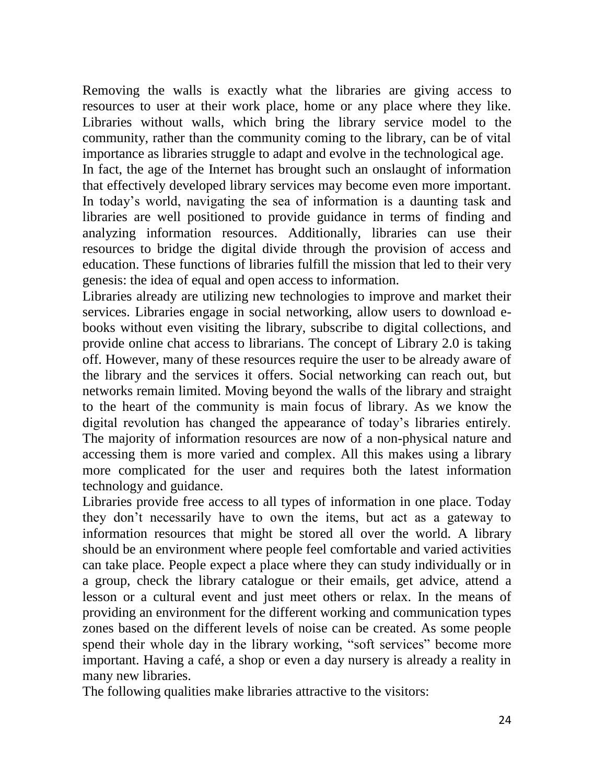Removing the walls is exactly what the libraries are giving access to resources to user at their work place, home or any place where they like. Libraries without walls, which bring the library service model to the community, rather than the community coming to the library, can be of vital importance as libraries struggle to adapt and evolve in the technological age.

In fact, the age of the Internet has brought such an onslaught of information that effectively developed library services may become even more important. In today's world, navigating the sea of information is a daunting task and libraries are well positioned to provide guidance in terms of finding and analyzing information resources. Additionally, libraries can use their resources to bridge the digital divide through the provision of access and education. These functions of libraries fulfill the mission that led to their very genesis: the idea of equal and open access to information.

Libraries already are utilizing new technologies to improve and market their services. Libraries engage in social networking, allow users to download ebooks without even visiting the library, subscribe to digital collections, and provide online chat access to librarians. The concept of Library 2.0 is taking off. However, many of these resources require the user to be already aware of the library and the services it offers. Social networking can reach out, but networks remain limited. Moving beyond the walls of the library and straight to the heart of the community is main focus of library. As we know the digital revolution has changed the appearance of today's libraries entirely. The majority of information resources are now of a non-physical nature and accessing them is more varied and complex. All this makes using a library more complicated for the user and requires both the latest information technology and guidance.

Libraries provide free access to all types of information in one place. Today they don't necessarily have to own the items, but act as a gateway to information resources that might be stored all over the world. A library should be an environment where people feel comfortable and varied activities can take place. People expect a place where they can study individually or in a group, check the library catalogue or their emails, get advice, attend a lesson or a cultural event and just meet others or relax. In the means of providing an environment for the different working and communication types zones based on the different levels of noise can be created. As some people spend their whole day in the library working, "soft services" become more important. Having a café, a shop or even a day nursery is already a reality in many new libraries.

The following qualities make libraries attractive to the visitors: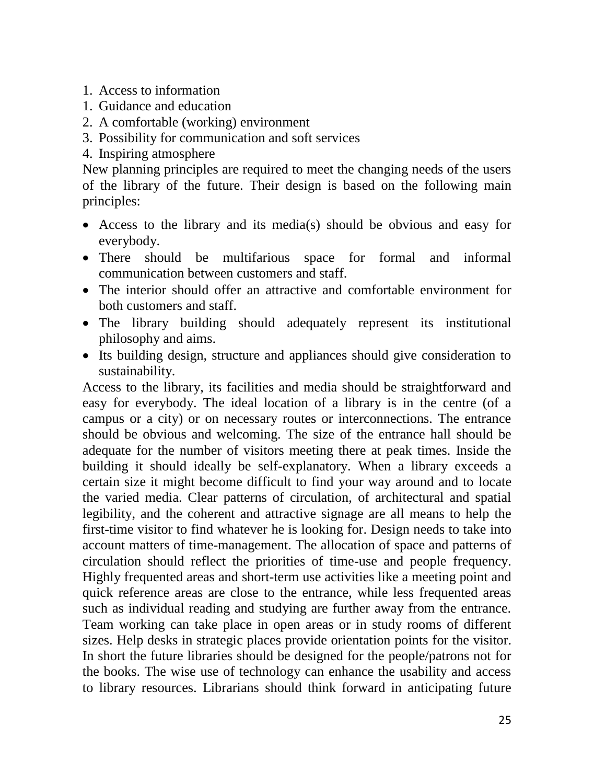- 1. Access to information
- 1. Guidance and education
- 2. A comfortable (working) environment
- 3. Possibility for communication and soft services
- 4. Inspiring atmosphere

New planning principles are required to meet the changing needs of the users of the library of the future. Their design is based on the following main principles:

- Access to the library and its media(s) should be obvious and easy for everybody.
- There should be multifarious space for formal and informal communication between customers and staff.
- The interior should offer an attractive and comfortable environment for both customers and staff.
- The library building should adequately represent its institutional philosophy and aims.
- Its building design, structure and appliances should give consideration to sustainability.

Access to the library, its facilities and media should be straightforward and easy for everybody. The ideal location of a library is in the centre (of a campus or a city) or on necessary routes or interconnections. The entrance should be obvious and welcoming. The size of the entrance hall should be adequate for the number of visitors meeting there at peak times. Inside the building it should ideally be self-explanatory. When a library exceeds a certain size it might become difficult to find your way around and to locate the varied media. Clear patterns of circulation, of architectural and spatial legibility, and the coherent and attractive signage are all means to help the first-time visitor to find whatever he is looking for. Design needs to take into account matters of time-management. The allocation of space and patterns of circulation should reflect the priorities of time-use and people frequency. Highly frequented areas and short-term use activities like a meeting point and quick reference areas are close to the entrance, while less frequented areas such as individual reading and studying are further away from the entrance. Team working can take place in open areas or in study rooms of different sizes. Help desks in strategic places provide orientation points for the visitor. In short the future libraries should be designed for the people/patrons not for the books. The wise use of technology can enhance the usability and access to library resources. Librarians should think forward in anticipating future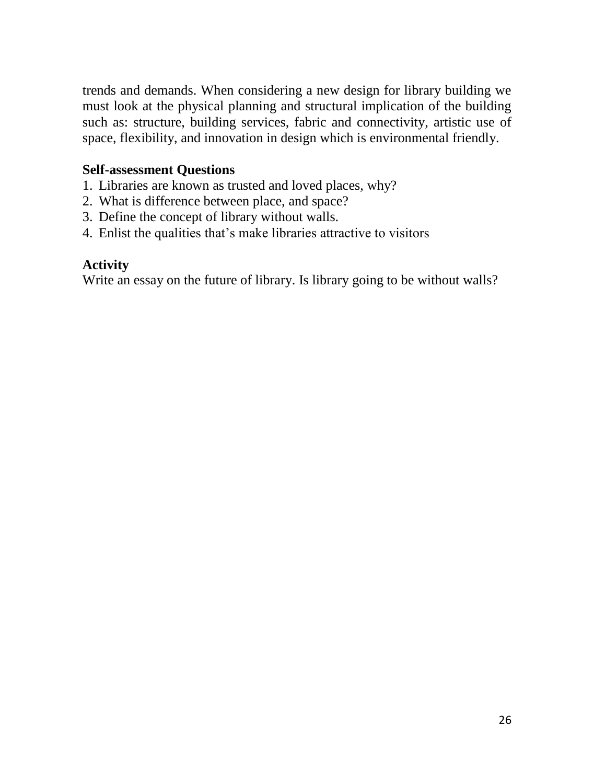trends and demands. When considering a new design for library building we must look at the physical planning and structural implication of the building such as: structure, building services, fabric and connectivity, artistic use of space, flexibility, and innovation in design which is environmental friendly.

## **Self-assessment Questions**

- 1. Libraries are known as trusted and loved places, why?
- 2. What is difference between place, and space?
- 3. Define the concept of library without walls.
- 4. Enlist the qualities that's make libraries attractive to visitors

#### **Activity**

Write an essay on the future of library. Is library going to be without walls?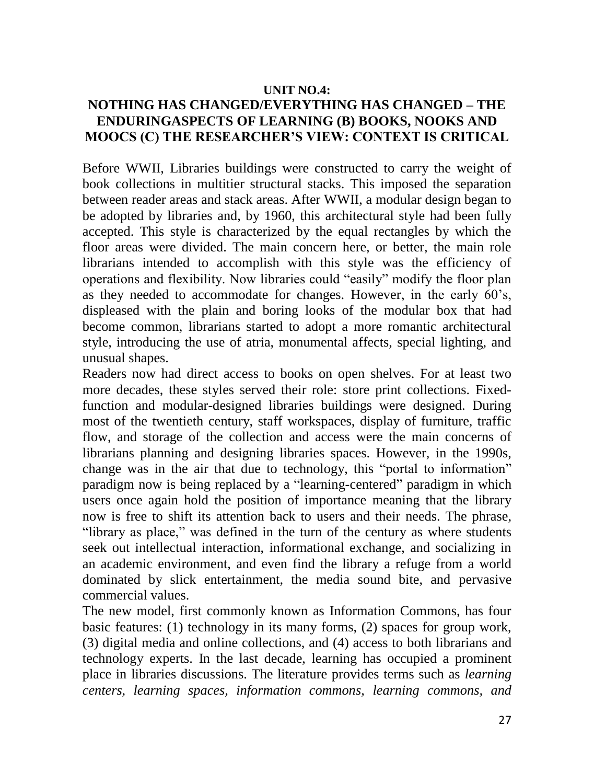#### **UNIT NO.4:**

# **NOTHING HAS CHANGED/EVERYTHING HAS CHANGED – THE ENDURINGASPECTS OF LEARNING (B) BOOKS, NOOKS AND MOOCS (C) THE RESEARCHER'S VIEW: CONTEXT IS CRITICAL**

Before WWII, Libraries buildings were constructed to carry the weight of book collections in multitier structural stacks. This imposed the separation between reader areas and stack areas. After WWII, a modular design began to be adopted by libraries and, by 1960, this architectural style had been fully accepted. This style is characterized by the equal rectangles by which the floor areas were divided. The main concern here, or better, the main role librarians intended to accomplish with this style was the efficiency of operations and flexibility. Now libraries could "easily" modify the floor plan as they needed to accommodate for changes. However, in the early 60's, displeased with the plain and boring looks of the modular box that had become common, librarians started to adopt a more romantic architectural style, introducing the use of atria, monumental affects, special lighting, and unusual shapes.

Readers now had direct access to books on open shelves. For at least two more decades, these styles served their role: store print collections. Fixedfunction and modular-designed libraries buildings were designed. During most of the twentieth century, staff workspaces, display of furniture, traffic flow, and storage of the collection and access were the main concerns of librarians planning and designing libraries spaces. However, in the 1990s, change was in the air that due to technology, this "portal to information" paradigm now is being replaced by a "learning-centered" paradigm in which users once again hold the position of importance meaning that the library now is free to shift its attention back to users and their needs. The phrase, "library as place," was defined in the turn of the century as where students seek out intellectual interaction, informational exchange, and socializing in an academic environment, and even find the library a refuge from a world dominated by slick entertainment, the media sound bite, and pervasive commercial values.

The new model, first commonly known as Information Commons, has four basic features: (1) technology in its many forms, (2) spaces for group work, (3) digital media and online collections, and (4) access to both librarians and technology experts. In the last decade, learning has occupied a prominent place in libraries discussions. The literature provides terms such as *learning centers, learning spaces, information commons, learning commons, and*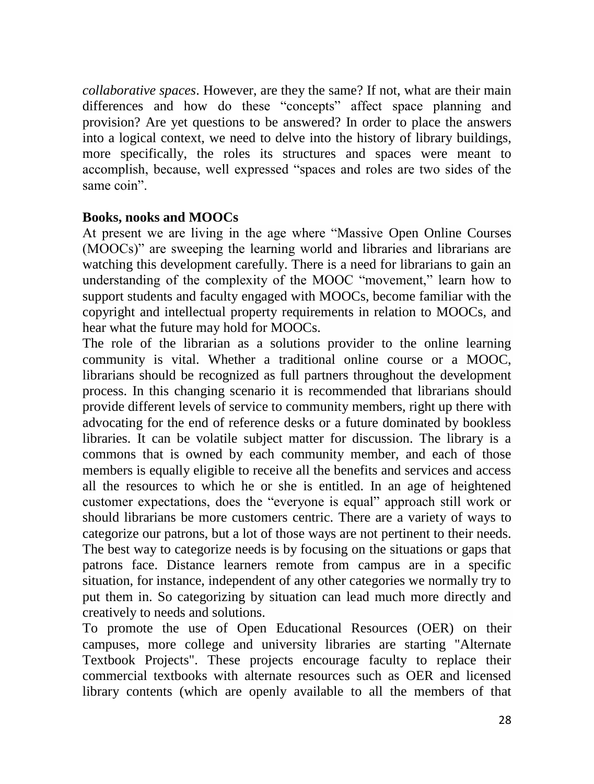*collaborative spaces*. However, are they the same? If not, what are their main differences and how do these "concepts" affect space planning and provision? Are yet questions to be answered? In order to place the answers into a logical context, we need to delve into the history of library buildings, more specifically, the roles its structures and spaces were meant to accomplish, because, well expressed "spaces and roles are two sides of the same coin".

#### **Books, nooks and MOOCs**

At present we are living in the age where "Massive Open Online Courses (MOOCs)" are sweeping the learning world and libraries and librarians are watching this development carefully. There is a need for librarians to gain an understanding of the complexity of the MOOC "movement," learn how to support students and faculty engaged with MOOCs, become familiar with the copyright and intellectual property requirements in relation to MOOCs, and hear what the future may hold for MOOCs.

The role of the librarian as a solutions provider to the online learning community is vital. Whether a traditional online course or a MOOC, librarians should be recognized as full partners throughout the development process. In this changing scenario it is recommended that librarians should provide different levels of service to community members, right up there with advocating for the end of reference desks or a future dominated by bookless libraries. It can be volatile subject matter for discussion. The library is a commons that is owned by each community member, and each of those members is equally eligible to receive all the benefits and services and access all the resources to which he or she is entitled. In an age of heightened customer expectations, does the "everyone is equal" approach still work or should librarians be more customers centric. There are a variety of ways to categorize our patrons, but a lot of those ways are not pertinent to their needs. The best way to categorize needs is by focusing on the situations or gaps that patrons face. Distance learners remote from campus are in a specific situation, for instance, independent of any other categories we normally try to put them in. So categorizing by situation can lead much more directly and creatively to needs and solutions.

To promote the use of Open Educational Resources (OER) on their campuses, more college and university libraries are starting "Alternate Textbook Projects". These projects encourage faculty to replace their commercial textbooks with alternate resources such as OER and licensed library contents (which are openly available to all the members of that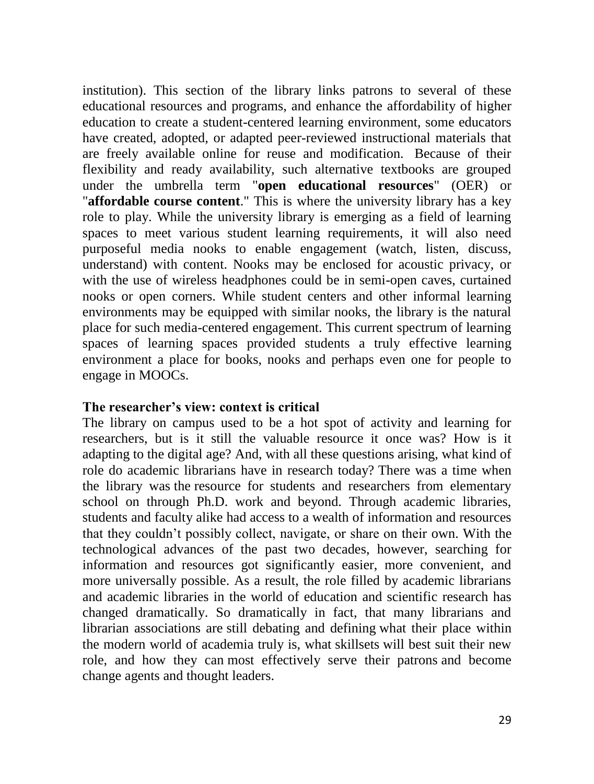institution). This section of the library links patrons to several of these educational resources and programs, and enhance the affordability of higher education to create a student-centered learning environment, some educators have created, adopted, or adapted peer-reviewed instructional materials that are freely available online for reuse and modification. Because of their flexibility and ready availability, such alternative textbooks are grouped under the umbrella term "**open educational resources**" (OER) or "**affordable course content**." This is where the university library has a key role to play. While the university library is emerging as a field of learning spaces to meet various student learning requirements, it will also need purposeful media nooks to enable engagement (watch, listen, discuss, understand) with content. Nooks may be enclosed for acoustic privacy, or with the use of wireless headphones could be in semi-open caves, curtained nooks or open corners. While student centers and other informal learning environments may be equipped with similar nooks, the library is the natural place for such media-centered engagement. This current spectrum of learning spaces of learning spaces provided students a truly effective learning environment a place for books, nooks and perhaps even one for people to engage in MOOCs.

#### **The researcher's view: context is critical**

The library on campus used to be a hot spot of activity and learning for researchers, but is it still the valuable resource it once was? How is it adapting to the digital age? And, with all these questions arising, what kind of role do academic librarians have in research today? There was a time when the library was the resource for students and researchers from elementary school on through Ph.D. work and beyond. Through academic libraries, students and faculty alike had access to a wealth of information and resources that they couldn't possibly collect, navigate, or share on their own. With the technological advances of the past two decades, however, searching for information and resources got significantly easier, more convenient, and more universally possible. As a result, the role filled by academic librarians and academic libraries in the world of education and scientific research has changed dramatically. So dramatically in fact, that many librarians and librarian associations are still debating and defining what their place within the modern world of academia truly is, what skillsets will best suit their new role, and how they can most effectively serve their patrons and become change agents and thought leaders.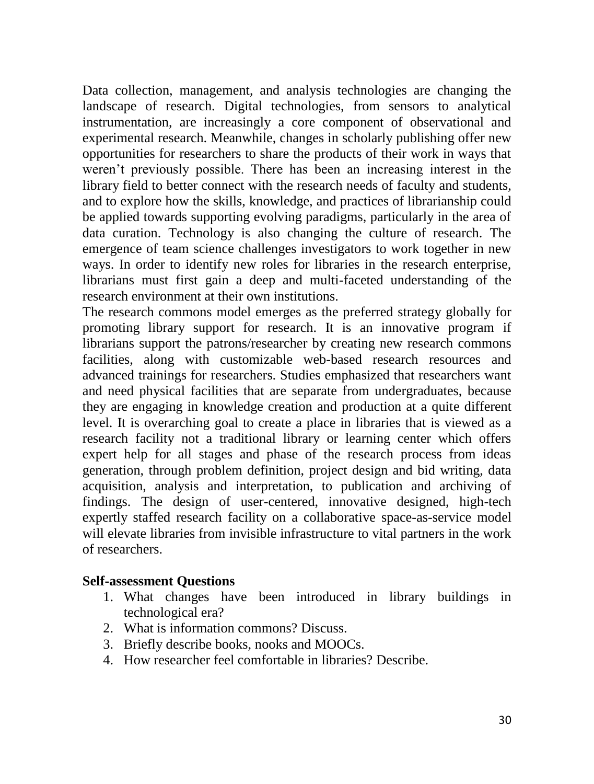Data collection, management, and analysis technologies are changing the landscape of research. Digital technologies, from sensors to analytical instrumentation, are increasingly a core component of observational and experimental research. Meanwhile, changes in scholarly publishing offer new opportunities for researchers to share the products of their work in ways that weren't previously possible. There has been an increasing interest in the library field to better connect with the research needs of faculty and students, and to explore how the skills, knowledge, and practices of librarianship could be applied towards supporting evolving paradigms, particularly in the area of data curation. Technology is also changing the culture of research. The emergence of team science challenges investigators to work together in new ways. In order to identify new roles for libraries in the research enterprise, librarians must first gain a deep and multi-faceted understanding of the research environment at their own institutions.

The research commons model emerges as the preferred strategy globally for promoting library support for research. It is an innovative program if librarians support the patrons/researcher by creating new research commons facilities, along with customizable web-based research resources and advanced trainings for researchers. Studies emphasized that researchers want and need physical facilities that are separate from undergraduates, because they are engaging in knowledge creation and production at a quite different level. It is overarching goal to create a place in libraries that is viewed as a research facility not a traditional library or learning center which offers expert help for all stages and phase of the research process from ideas generation, through problem definition, project design and bid writing, data acquisition, analysis and interpretation, to publication and archiving of findings. The design of user-centered, innovative designed, high-tech expertly staffed research facility on a collaborative space-as-service model will elevate libraries from invisible infrastructure to vital partners in the work of researchers.

#### **Self-assessment Questions**

- 1. What changes have been introduced in library buildings in technological era?
- 2. What is information commons? Discuss.
- 3. Briefly describe books, nooks and MOOCs.
- 4. How researcher feel comfortable in libraries? Describe.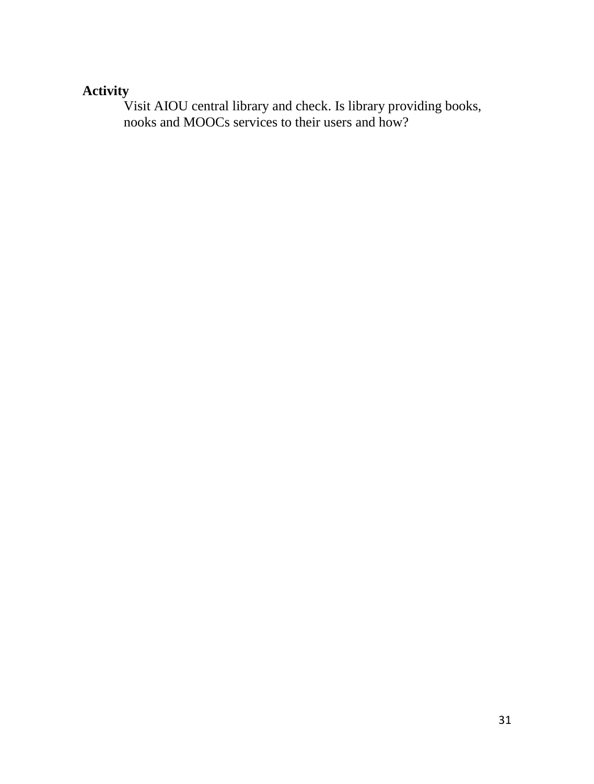# **Activity**

Visit AIOU central library and check. Is library providing books, nooks and MOOCs services to their users and how?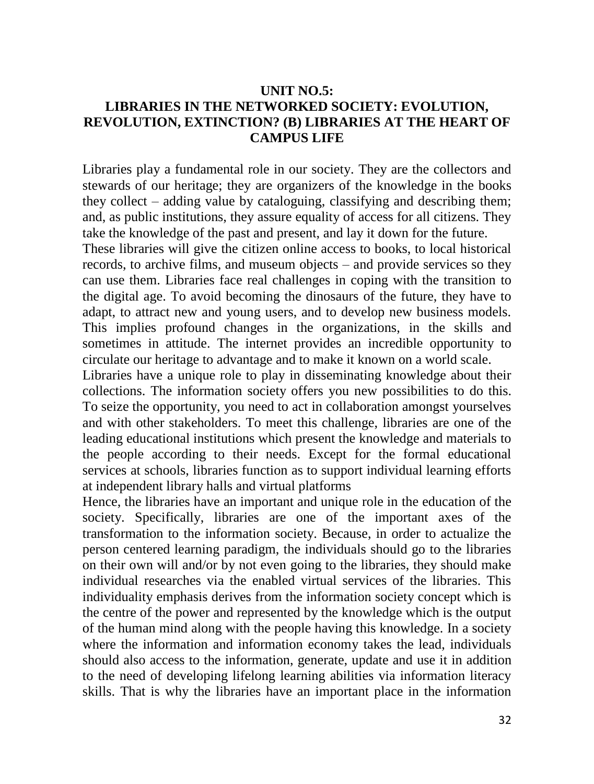#### **UNIT NO.5:**

# **LIBRARIES IN THE NETWORKED SOCIETY: EVOLUTION, REVOLUTION, EXTINCTION? (B) LIBRARIES AT THE HEART OF CAMPUS LIFE**

Libraries play a fundamental role in our society. They are the collectors and stewards of our heritage; they are organizers of the knowledge in the books they collect – adding value by cataloguing, classifying and describing them; and, as public institutions, they assure equality of access for all citizens. They take the knowledge of the past and present, and lay it down for the future.

These libraries will give the citizen online access to books, to local historical records, to archive films, and museum objects – and provide services so they can use them. Libraries face real challenges in coping with the transition to the digital age. To avoid becoming the dinosaurs of the future, they have to adapt, to attract new and young users, and to develop new business models. This implies profound changes in the organizations, in the skills and sometimes in attitude. The internet provides an incredible opportunity to circulate our heritage to advantage and to make it known on a world scale.

Libraries have a unique role to play in disseminating knowledge about their collections. The information society offers you new possibilities to do this. To seize the opportunity, you need to act in collaboration amongst yourselves and with other stakeholders. To meet this challenge, libraries are one of the leading educational institutions which present the knowledge and materials to the people according to their needs. Except for the formal educational services at schools, libraries function as to support individual learning efforts at independent library halls and virtual platforms

Hence, the libraries have an important and unique role in the education of the society. Specifically, libraries are one of the important axes of the transformation to the information society. Because, in order to actualize the person centered learning paradigm, the individuals should go to the libraries on their own will and/or by not even going to the libraries, they should make individual researches via the enabled virtual services of the libraries. This individuality emphasis derives from the information society concept which is the centre of the power and represented by the knowledge which is the output of the human mind along with the people having this knowledge. In a society where the information and information economy takes the lead, individuals should also access to the information, generate, update and use it in addition to the need of developing lifelong learning abilities via information literacy skills. That is why the libraries have an important place in the information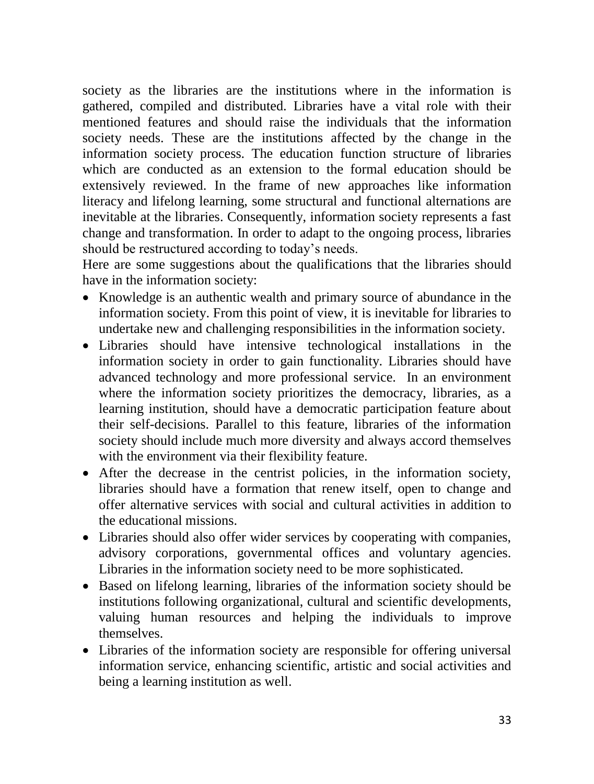society as the libraries are the institutions where in the information is gathered, compiled and distributed. Libraries have a vital role with their mentioned features and should raise the individuals that the information society needs. These are the institutions affected by the change in the information society process. The education function structure of libraries which are conducted as an extension to the formal education should be extensively reviewed. In the frame of new approaches like information literacy and lifelong learning, some structural and functional alternations are inevitable at the libraries. Consequently, information society represents a fast change and transformation. In order to adapt to the ongoing process, libraries should be restructured according to today's needs.

Here are some suggestions about the qualifications that the libraries should have in the information society:

- Knowledge is an authentic wealth and primary source of abundance in the information society. From this point of view, it is inevitable for libraries to undertake new and challenging responsibilities in the information society.
- Libraries should have intensive technological installations in the information society in order to gain functionality. Libraries should have advanced technology and more professional service. In an environment where the information society prioritizes the democracy, libraries, as a learning institution, should have a democratic participation feature about their self-decisions. Parallel to this feature, libraries of the information society should include much more diversity and always accord themselves with the environment via their flexibility feature.
- After the decrease in the centrist policies, in the information society, libraries should have a formation that renew itself, open to change and offer alternative services with social and cultural activities in addition to the educational missions.
- Libraries should also offer wider services by cooperating with companies, advisory corporations, governmental offices and voluntary agencies. Libraries in the information society need to be more sophisticated.
- Based on lifelong learning, libraries of the information society should be institutions following organizational, cultural and scientific developments, valuing human resources and helping the individuals to improve themselves.
- Libraries of the information society are responsible for offering universal information service, enhancing scientific, artistic and social activities and being a learning institution as well.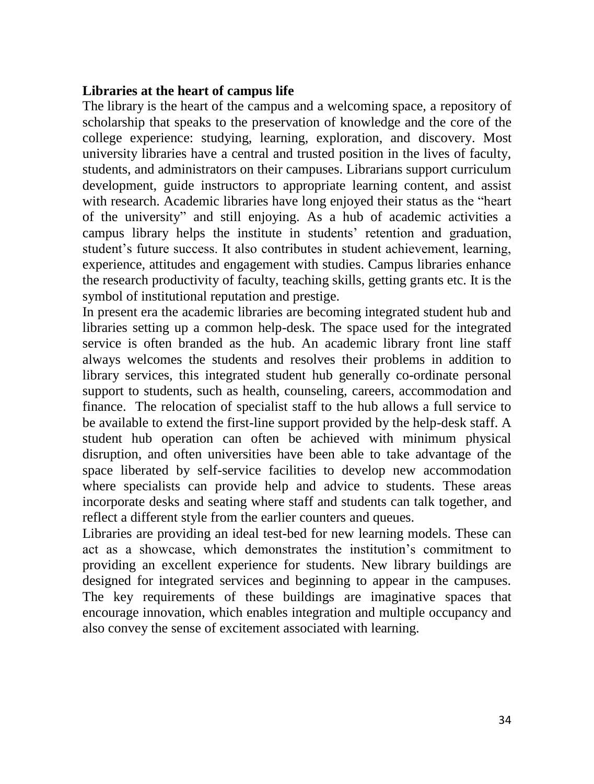#### **Libraries at the heart of campus life**

The library is the heart of the campus and a welcoming space, a repository of scholarship that speaks to the preservation of knowledge and the core of the college experience: studying, learning, exploration, and discovery. Most university libraries have a central and trusted position in the lives of faculty, students, and administrators on their campuses. Librarians support curriculum development, guide instructors to appropriate learning content, and assist with research. Academic libraries have long enjoyed their status as the "heart of the university" and still enjoying. As a hub of academic activities a campus library helps the institute in students' retention and graduation, student's future success. It also contributes in student achievement, learning, experience, attitudes and engagement with studies. Campus libraries enhance the research productivity of faculty, teaching skills, getting grants etc. It is the symbol of institutional reputation and prestige.

In present era the academic libraries are becoming integrated student hub and libraries setting up a common help-desk. The space used for the integrated service is often branded as the hub. An academic library front line staff always welcomes the students and resolves their problems in addition to library services, this integrated student hub generally co-ordinate personal support to students, such as health, counseling, careers, accommodation and finance. The relocation of specialist staff to the hub allows a full service to be available to extend the first-line support provided by the help-desk staff. A student hub operation can often be achieved with minimum physical disruption, and often universities have been able to take advantage of the space liberated by self-service facilities to develop new accommodation where specialists can provide help and advice to students. These areas incorporate desks and seating where staff and students can talk together, and reflect a different style from the earlier counters and queues.

Libraries are providing an ideal test-bed for new learning models. These can act as a showcase, which demonstrates the institution's commitment to providing an excellent experience for students. New library buildings are designed for integrated services and beginning to appear in the campuses. The key requirements of these buildings are imaginative spaces that encourage innovation, which enables integration and multiple occupancy and also convey the sense of excitement associated with learning.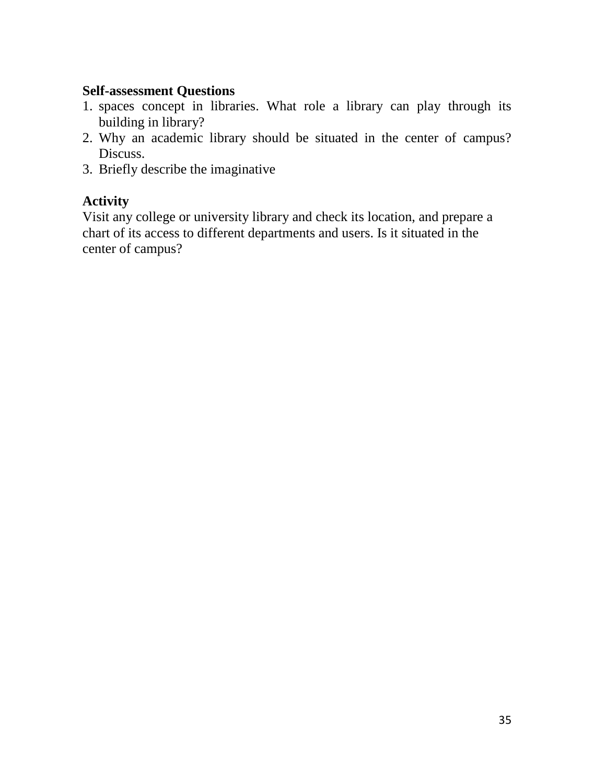# **Self-assessment Questions**

- 1. spaces concept in libraries. What role a library can play through its building in library?
- 2. Why an academic library should be situated in the center of campus? Discuss.
- 3. Briefly describe the imaginative

# **Activity**

Visit any college or university library and check its location, and prepare a chart of its access to different departments and users. Is it situated in the center of campus?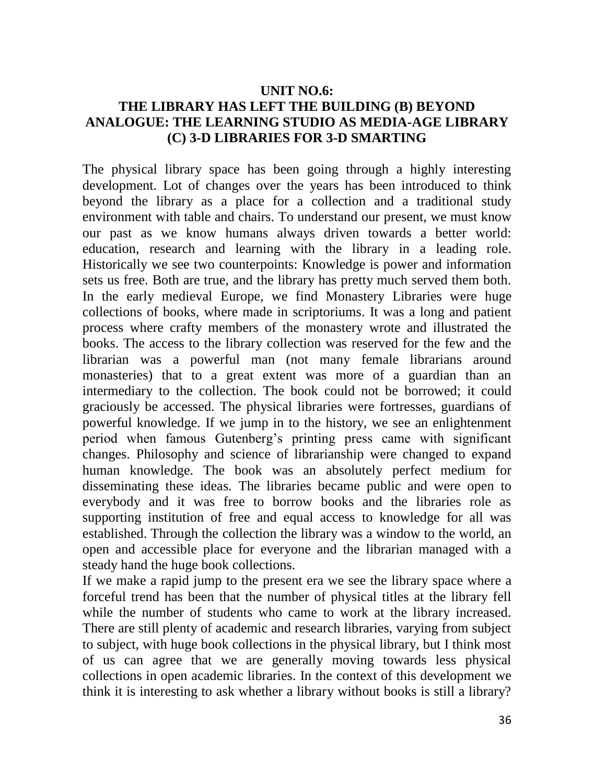#### **UNIT NO.6:**

# **THE LIBRARY HAS LEFT THE BUILDING (B) BEYOND ANALOGUE: THE LEARNING STUDIO AS MEDIA-AGE LIBRARY (C) 3-D LIBRARIES FOR 3-D SMARTING**

The physical library space has been going through a highly interesting development. Lot of changes over the years has been introduced to think beyond the library as a place for a collection and a traditional study environment with table and chairs. To understand our present, we must know our past as we know humans always driven towards a better world: education, research and learning with the library in a leading role. Historically we see two counterpoints: Knowledge is power and information sets us free. Both are true, and the library has pretty much served them both. In the early medieval Europe, we find Monastery Libraries were huge collections of books, where made in scriptoriums. It was a long and patient process where crafty members of the monastery wrote and illustrated the books. The access to the library collection was reserved for the few and the librarian was a powerful man (not many female librarians around monasteries) that to a great extent was more of a guardian than an intermediary to the collection. The book could not be borrowed; it could graciously be accessed. The physical libraries were fortresses, guardians of powerful knowledge. If we jump in to the history, we see an enlightenment period when famous Gutenberg's printing press came with significant changes. Philosophy and science of librarianship were changed to expand human knowledge. The book was an absolutely perfect medium for disseminating these ideas. The libraries became public and were open to everybody and it was free to borrow books and the libraries role as supporting institution of free and equal access to knowledge for all was established. Through the collection the library was a window to the world, an open and accessible place for everyone and the librarian managed with a steady hand the huge book collections.

If we make a rapid jump to the present era we see the library space where a forceful trend has been that the number of physical titles at the library fell while the number of students who came to work at the library increased. There are still plenty of academic and research libraries, varying from subject to subject, with huge book collections in the physical library, but I think most of us can agree that we are generally moving towards less physical collections in open academic libraries. In the context of this development we think it is interesting to ask whether a library without books is still a library?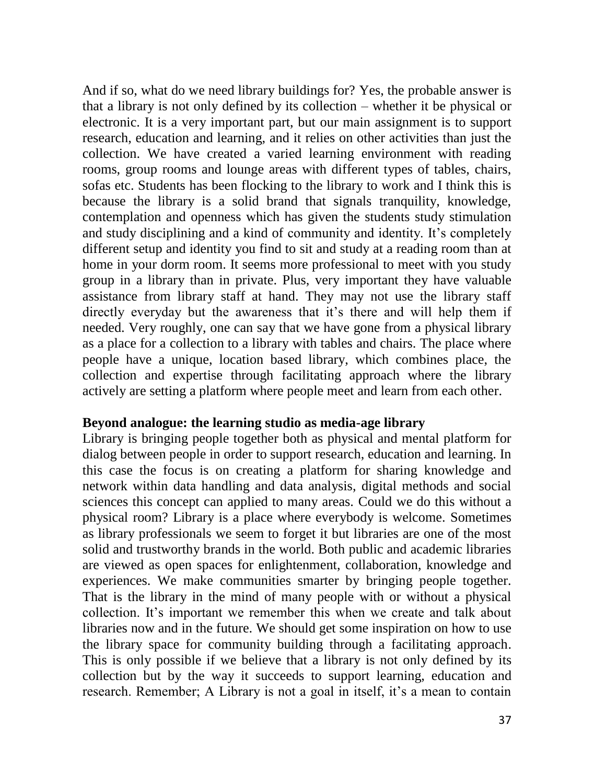And if so, what do we need library buildings for? Yes, the probable answer is that a library is not only defined by its collection – whether it be physical or electronic. It is a very important part, but our main assignment is to support research, education and learning, and it relies on other activities than just the collection. We have created a varied learning environment with reading rooms, group rooms and lounge areas with different types of tables, chairs, sofas etc. Students has been flocking to the library to work and I think this is because the library is a solid brand that signals tranquility, knowledge, contemplation and openness which has given the students study stimulation and study disciplining and a kind of community and identity. It's completely different setup and identity you find to sit and study at a reading room than at home in your dorm room. It seems more professional to meet with you study group in a library than in private. Plus, very important they have valuable assistance from library staff at hand. They may not use the library staff directly everyday but the awareness that it's there and will help them if needed. Very roughly, one can say that we have gone from a physical library as a place for a collection to a library with tables and chairs. The place where people have a unique, location based library, which combines place, the collection and expertise through facilitating approach where the library actively are setting a platform where people meet and learn from each other.

#### **Beyond analogue: the learning studio as media-age library**

Library is bringing people together both as physical and mental platform for dialog between people in order to support research, education and learning. In this case the focus is on creating a platform for sharing knowledge and network within data handling and data analysis, digital methods and social sciences this concept can applied to many areas. Could we do this without a physical room? Library is a place where everybody is welcome. Sometimes as library professionals we seem to forget it but libraries are one of the most solid and trustworthy brands in the world. Both public and academic libraries are viewed as open spaces for enlightenment, collaboration, knowledge and experiences. We make communities smarter by bringing people together. That is the library in the mind of many people with or without a physical collection. It's important we remember this when we create and talk about libraries now and in the future. We should get some inspiration on how to use the library space for community building through a facilitating approach. This is only possible if we believe that a library is not only defined by its collection but by the way it succeeds to support learning, education and research. Remember; A Library is not a goal in itself, it's a mean to contain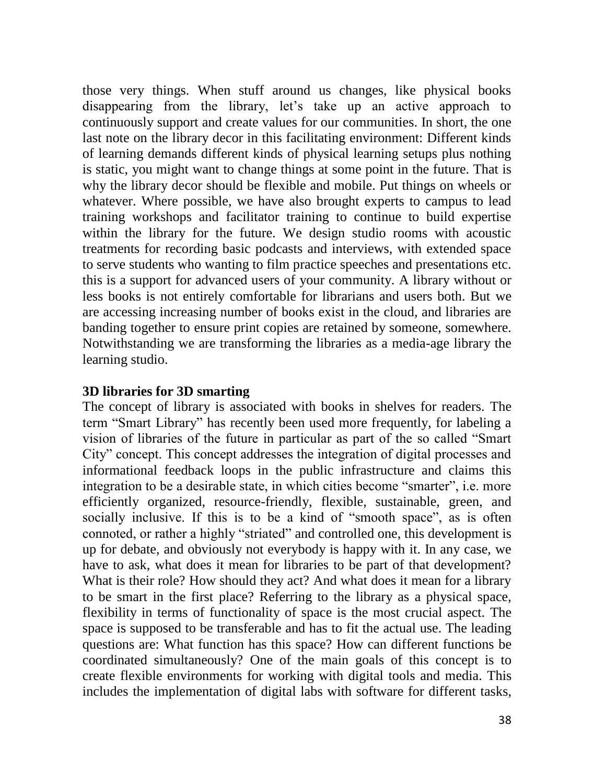those very things. When stuff around us changes, like physical books disappearing from the library, let's take up an active approach to continuously support and create values for our communities. In short, the one last note on the library decor in this facilitating environment: Different kinds of learning demands different kinds of physical learning setups plus nothing is static, you might want to change things at some point in the future. That is why the library decor should be flexible and mobile. Put things on wheels or whatever. Where possible, we have also brought experts to campus to lead training workshops and facilitator training to continue to build expertise within the library for the future. We design studio rooms with acoustic treatments for recording basic podcasts and interviews, with extended space to serve students who wanting to film practice speeches and presentations etc. this is a support for advanced users of your community. A library without or less books is not entirely comfortable for librarians and users both. But we are accessing increasing number of books exist in the cloud, and libraries are banding together to ensure print copies are retained by someone, somewhere. Notwithstanding we are transforming the libraries as a media-age library the learning studio.

#### **3D libraries for 3D smarting**

The concept of library is associated with books in shelves for readers. The term "Smart Library" has recently been used more frequently, for labeling a vision of libraries of the future in particular as part of the so called "Smart City" concept. This concept addresses the integration of digital processes and informational feedback loops in the public infrastructure and claims this integration to be a desirable state, in which cities become "smarter", i.e. more efficiently organized, resource-friendly, flexible, sustainable, green, and socially inclusive. If this is to be a kind of "smooth space", as is often connoted, or rather a highly "striated" and controlled one, this development is up for debate, and obviously not everybody is happy with it. In any case, we have to ask, what does it mean for libraries to be part of that development? What is their role? How should they act? And what does it mean for a library to be smart in the first place? Referring to the library as a physical space, flexibility in terms of functionality of space is the most crucial aspect. The space is supposed to be transferable and has to fit the actual use. The leading questions are: What function has this space? How can different functions be coordinated simultaneously? One of the main goals of this concept is to create flexible environments for working with digital tools and media. This includes the implementation of digital labs with software for different tasks,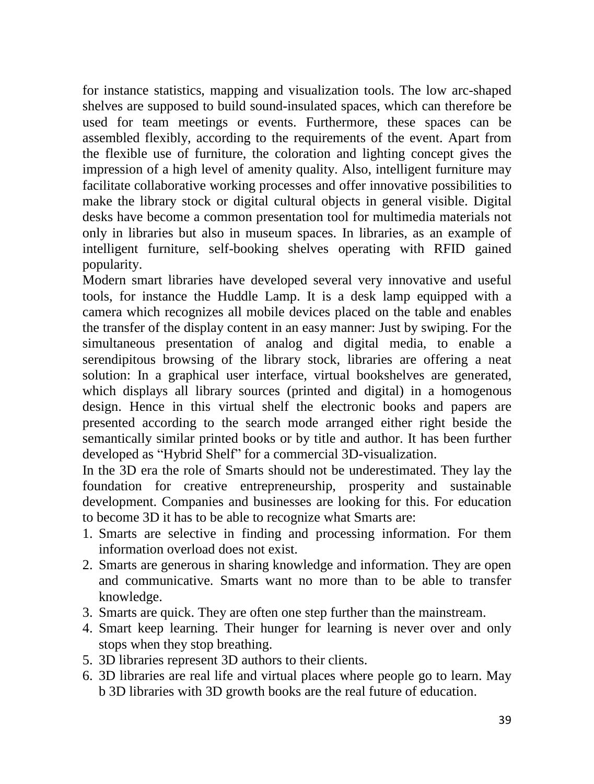for instance statistics, mapping and visualization tools. The low arc-shaped shelves are supposed to build sound-insulated spaces, which can therefore be used for team meetings or events. Furthermore, these spaces can be assembled flexibly, according to the requirements of the event. Apart from the flexible use of furniture, the coloration and lighting concept gives the impression of a high level of amenity quality. Also, intelligent furniture may facilitate collaborative working processes and offer innovative possibilities to make the library stock or digital cultural objects in general visible. Digital desks have become a common presentation tool for multimedia materials not only in libraries but also in museum spaces. In libraries, as an example of intelligent furniture, self-booking shelves operating with RFID gained popularity.

Modern smart libraries have developed several very innovative and useful tools, for instance the Huddle Lamp. It is a desk lamp equipped with a camera which recognizes all mobile devices placed on the table and enables the transfer of the display content in an easy manner: Just by swiping. For the simultaneous presentation of analog and digital media, to enable a serendipitous browsing of the library stock, libraries are offering a neat solution: In a graphical user interface, virtual bookshelves are generated, which displays all library sources (printed and digital) in a homogenous design. Hence in this virtual shelf the electronic books and papers are presented according to the search mode arranged either right beside the semantically similar printed books or by title and author. It has been further developed as ["Hybrid](https://www.hybridbookshelf.de/#welcome) Shelf" for a commercial 3D-visualization.

In the 3D era the role of Smarts should not be underestimated. They lay the foundation for creative entrepreneurship, prosperity and sustainable development. Companies and businesses are looking for this. For education to become 3D it has to be able to recognize what Smarts are:

- 1. Smarts are selective in finding and processing information. For them information overload does not exist.
- 2. Smarts are generous in sharing knowledge and information. They are open and communicative. Smarts want no more than to be able to transfer knowledge.
- 3. Smarts are quick. They are often one step further than the mainstream.
- 4. Smart keep learning. Their hunger for learning is never over and only stops when they stop breathing.
- 5. 3D libraries represent 3D authors to their clients.
- 6. 3D libraries are real life and virtual places where people go to learn. May b 3D libraries with 3D growth books are the real future of education.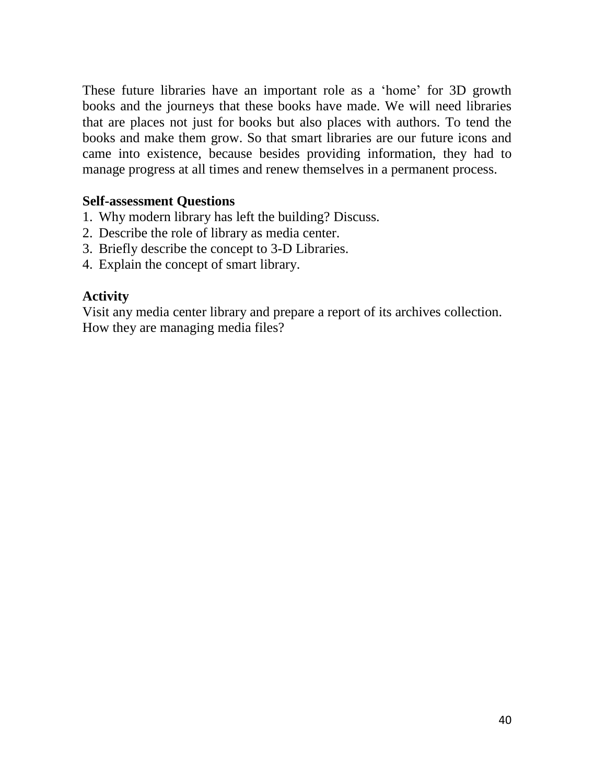These future libraries have an important role as a 'home' for 3D growth books and the journeys that these books have made. We will need libraries that are places not just for books but also places with authors. To tend the books and make them grow. So that smart libraries are our future icons and came into existence, because besides providing information, they had to manage progress at all times and renew themselves in a permanent process.

#### **Self-assessment Questions**

- 1. Why modern library has left the building? Discuss.
- 2. Describe the role of library as media center.
- 3. Briefly describe the concept to 3-D Libraries.
- 4. Explain the concept of smart library.

#### **Activity**

Visit any media center library and prepare a report of its archives collection. How they are managing media files?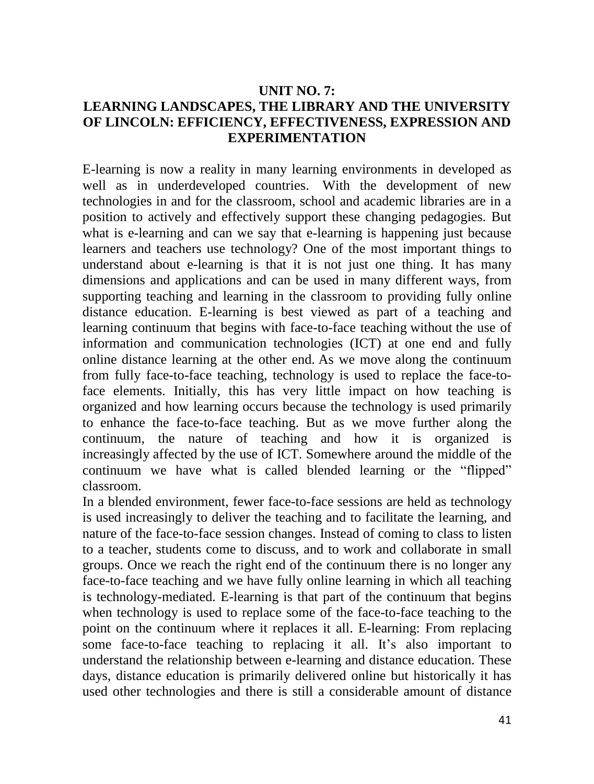#### **UNIT NO. 7:**

# **LEARNING LANDSCAPES, THE LIBRARY AND THE UNIVERSITY OF LINCOLN: EFFICIENCY, EFFECTIVENESS, EXPRESSION AND EXPERIMENTATION**

E-learning is now a reality in many learning environments in developed as well as in underdeveloped countries. With the development of new technologies in and for the classroom, school and academic libraries are in a position to actively and effectively support these changing pedagogies. But what is e-learning and can we say that e-learning is happening just because learners and teachers use technology? One of the most important things to understand about e-learning is that it is not just one thing. It has many dimensions and applications and can be used in many different ways, from supporting teaching and learning in the classroom to providing fully online distance education. E-learning is best viewed as part of a teaching and learning continuum that begins with face-to-face teaching without the use of information and communication technologies (ICT) at one end and fully online distance learning at the other end. As we move along the continuum from fully face-to-face teaching, technology is used to replace the face-toface elements. Initially, this has very little impact on how teaching is organized and how learning occurs because the technology is used primarily to enhance the face-to-face teaching. But as we move further along the continuum, the nature of teaching and how it is organized is increasingly affected by the use of ICT. Somewhere around the middle of the continuum we have what is called blended learning or the "flipped" classroom.

In a blended environment, fewer face-to-face sessions are held as technology is used increasingly to deliver the teaching and to facilitate the learning, and nature of the face-to-face session changes. Instead of coming to class to listen to a teacher, students come to discuss, and to work and collaborate in small groups. Once we reach the right end of the continuum there is no longer any face-to-face teaching and we have fully online learning in which all teaching is technology-mediated. E-learning is that part of the continuum that begins when technology is used to replace some of the face-to-face teaching to the point on the continuum where it replaces it all. E-learning: From replacing some face-to-face teaching to replacing it all. It's also important to understand the relationship between e-learning and distance education. These days, distance education is primarily delivered online but historically it has used other technologies and there is still a considerable amount of distance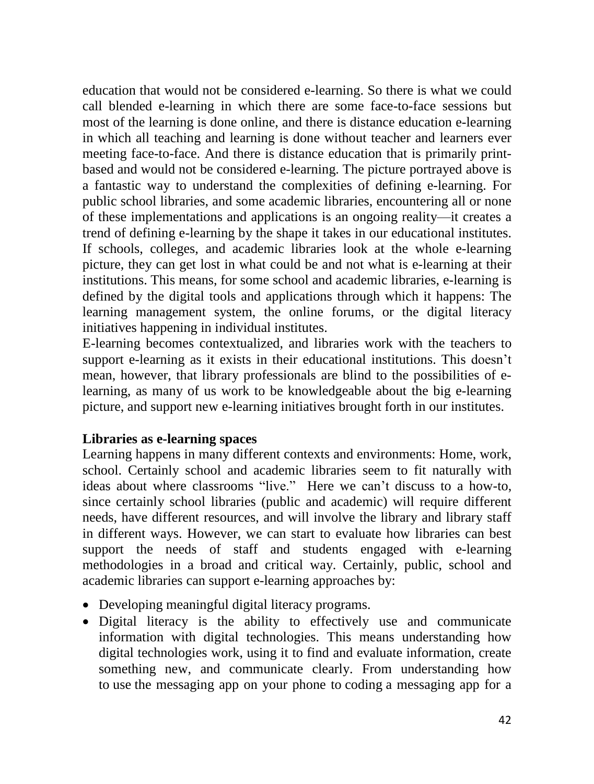education that would not be considered e-learning. So there is what we could call blended e-learning in which there are some face-to-face sessions but most of the learning is done online, and there is distance education e-learning in which all teaching and learning is done without teacher and learners ever meeting face-to-face. And there is distance education that is primarily printbased and would not be considered e-learning. The picture portrayed above is a fantastic way to understand the complexities of defining e-learning. For public school libraries, and some academic libraries, encountering all or none of these implementations and applications is an ongoing reality—it creates a trend of defining e-learning by the shape it takes in our educational institutes. If schools, colleges, and academic libraries look at the whole e-learning picture, they can get lost in what could be and not what is e-learning at their institutions. This means, for some school and academic libraries, e-learning is defined by the digital tools and applications through which it happens: The learning management system, the online forums, or the digital literacy initiatives happening in individual institutes.

E-learning becomes contextualized, and libraries work with the teachers to support e-learning as it exists in their educational institutions. This doesn't mean, however, that library professionals are blind to the possibilities of elearning, as many of us work to be knowledgeable about the big e-learning picture, and support new e-learning initiatives brought forth in our institutes.

# **Libraries as e-learning spaces**

Learning happens in many different contexts and environments: Home, work, school. Certainly school and academic libraries seem to fit naturally with ideas about where classrooms "live." Here we can't discuss to a how-to, since certainly school libraries (public and academic) will require different needs, have different resources, and will involve the library and library staff in different ways. However, we can start to evaluate how libraries can best support the needs of staff and students engaged with e-learning methodologies in a broad and critical way. Certainly, public, school and academic libraries can support e-learning approaches by:

- Developing meaningful digital literacy programs.
- Digital literacy is the ability to effectively use and communicate information with digital technologies. This means understanding how digital technologies work, using it to find and evaluate information, create something new, and communicate clearly. From understanding how to use the messaging app on your phone to coding a messaging app for a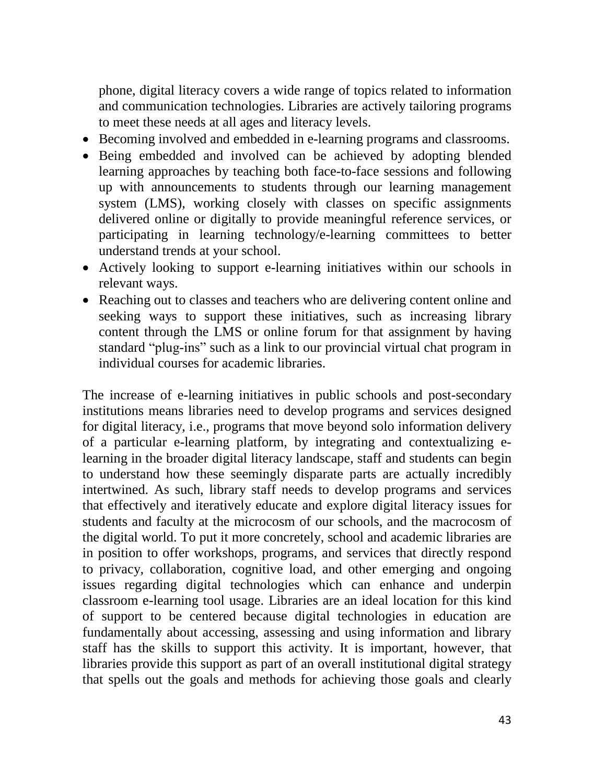phone, digital literacy covers a wide range of topics related to information and communication technologies. Libraries are actively tailoring programs to meet these needs at all ages and literacy levels.

- Becoming involved and embedded in e-learning programs and classrooms.
- Being embedded and involved can be achieved by adopting blended learning approaches by teaching both face-to-face sessions and following up with announcements to students through our learning management system (LMS), working closely with classes on specific assignments delivered online or digitally to provide meaningful reference services, or participating in learning technology/e-learning committees to better understand trends at your school.
- Actively looking to support e-learning initiatives within our schools in relevant ways.
- Reaching out to classes and teachers who are delivering content online and seeking ways to support these initiatives, such as increasing library content through the LMS or online forum for that assignment by having standard "plug-ins" such as a link to our provincial virtual chat program in individual courses for academic libraries.

The increase of e-learning initiatives in public schools and post-secondary institutions means libraries need to develop programs and services designed for digital literacy, i.e., programs that move beyond solo information delivery of a particular e-learning platform, by integrating and contextualizing elearning in the broader digital literacy landscape, staff and students can begin to understand how these seemingly disparate parts are actually incredibly intertwined. As such, library staff needs to develop programs and services that effectively and iteratively educate and explore digital literacy issues for students and faculty at the microcosm of our schools, and the macrocosm of the digital world. To put it more concretely, school and academic libraries are in position to offer workshops, programs, and services that directly respond to privacy, collaboration, cognitive load, and other emerging and ongoing issues regarding digital technologies which can enhance and underpin classroom e-learning tool usage. Libraries are an ideal location for this kind of support to be centered because digital technologies in education are fundamentally about accessing, assessing and using information and library staff has the skills to support this activity. It is important, however, that libraries provide this support as part of an overall institutional digital strategy that spells out the goals and methods for achieving those goals and clearly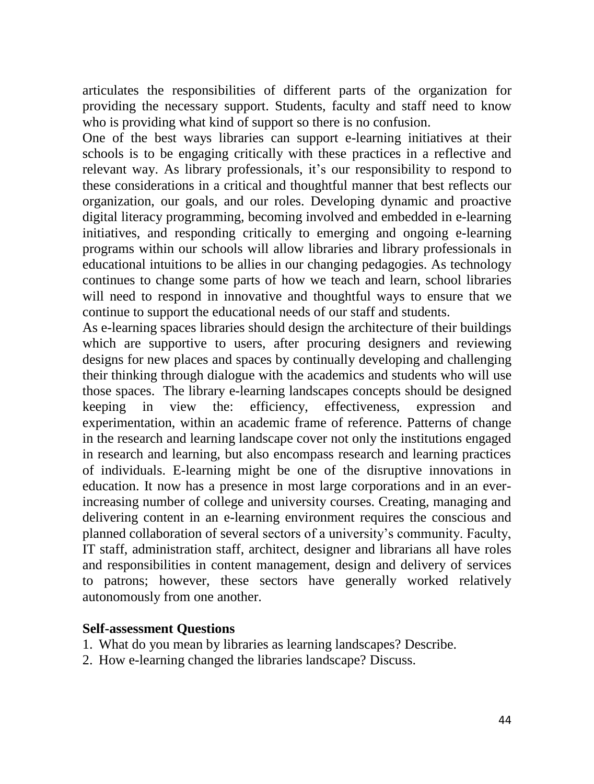articulates the responsibilities of different parts of the organization for providing the necessary support. Students, faculty and staff need to know who is providing what kind of support so there is no confusion.

One of the best ways libraries can support e-learning initiatives at their schools is to be engaging critically with these practices in a reflective and relevant way. As library professionals, it's our responsibility to respond to these considerations in a critical and thoughtful manner that best reflects our organization, our goals, and our roles. Developing dynamic and proactive digital literacy programming, becoming involved and embedded in e-learning initiatives, and responding critically to emerging and ongoing e-learning programs within our schools will allow libraries and library professionals in educational intuitions to be allies in our changing pedagogies. As technology continues to change some parts of how we teach and learn, school libraries will need to respond in innovative and thoughtful ways to ensure that we continue to support the educational needs of our staff and students.

As e-learning spaces libraries should design the architecture of their buildings which are supportive to users, after procuring designers and reviewing designs for new places and spaces by continually developing and challenging their thinking through dialogue with the academics and students who will use those spaces. The library e-learning landscapes concepts should be designed keeping in view the: efficiency, effectiveness, expression and experimentation, within an academic frame of reference. Patterns of change in the research and learning landscape cover not only the institutions engaged in research and learning, but also encompass research and learning practices of individuals. E-learning might be one of the disruptive innovations in education. It now has a presence in most large corporations and in an everincreasing number of college and university courses. Creating, managing and delivering content in an e-learning environment requires the conscious and planned collaboration of several sectors of a university's community. Faculty, IT staff, administration staff, architect, designer and librarians all have roles and responsibilities in content management, design and delivery of services to patrons; however, these sectors have generally worked relatively autonomously from one another.

#### **Self-assessment Questions**

- 1. What do you mean by libraries as learning landscapes? Describe.
- 2. How e-learning changed the libraries landscape? Discuss.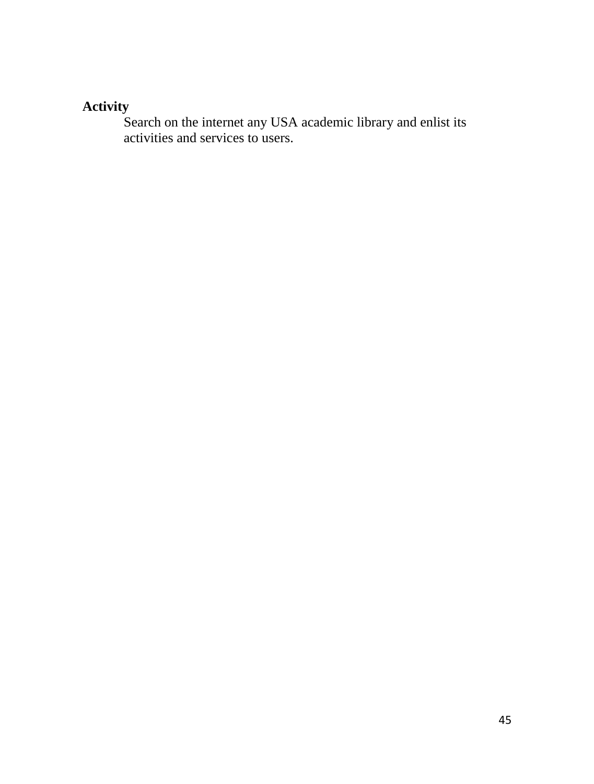# **Activity**

Search on the internet any USA academic library and enlist its activities and services to users.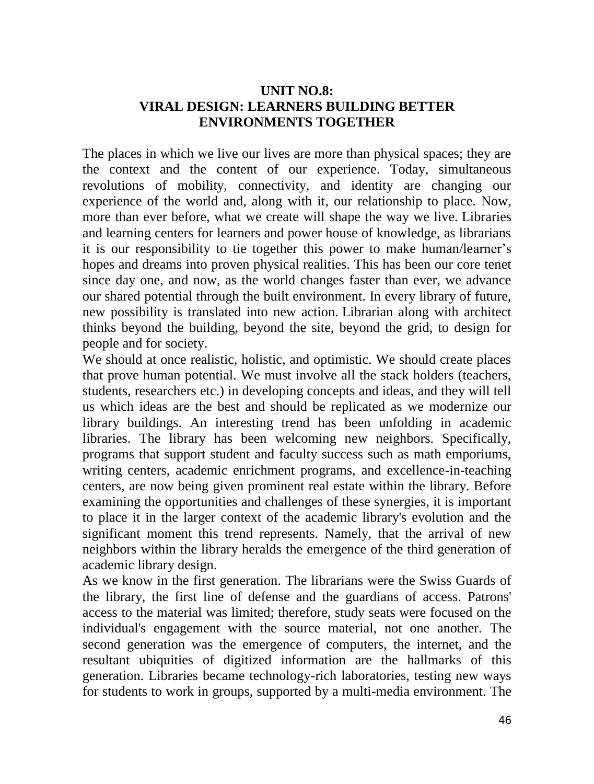# **UNIT NO.8: VIRAL DESIGN: LEARNERS BUILDING BETTER ENVIRONMENTS TOGETHER**

The places in which we live our lives are more than physical spaces; they are the context and the content of our experience. Today, simultaneous revolutions of mobility, connectivity, and identity are changing our experience of the world and, along with it, our relationship to place. Now, more than ever before, what we create will shape the way we live. Libraries and learning centers for learners and power house of knowledge, as librarians it is our responsibility to tie together this power to make human/learner's hopes and dreams into proven physical realities. This has been our core tenet since day one, and now, as the world changes faster than ever, we advance our shared potential through the built environment. In every library of future, new possibility is translated into new action. Librarian along with architect thinks beyond the building, beyond the site, beyond the grid, to design for people and for society.

We should at once realistic, holistic, and optimistic. We should create places that prove human potential. We must involve all the stack holders (teachers, students, researchers etc.) in developing concepts and ideas, and they will tell us which ideas are the best and should be replicated as we modernize our library buildings. An interesting trend has been unfolding in academic libraries. The library has been welcoming new neighbors. Specifically, programs that support student and faculty success such as math emporiums, writing centers, academic enrichment programs, and excellence-in-teaching centers, are now being given prominent real estate within the library. Before examining the opportunities and challenges of these synergies, it is important to place it in the larger context of the academic library's evolution and the significant moment this trend represents. Namely, that the arrival of new neighbors within the library heralds the emergence of the third generation of academic library design.

As we know in the first generation. The librarians were the Swiss Guards of the library, the first line of defense and the guardians of access. Patrons' access to the material was limited; therefore, study seats were focused on the individual's engagement with the source material, not one another. The second generation was the emergence of computers, the internet, and the resultant ubiquities of digitized information are the hallmarks of this generation. Libraries became technology-rich laboratories, testing new ways for students to work in groups, supported by a multi-media environment. The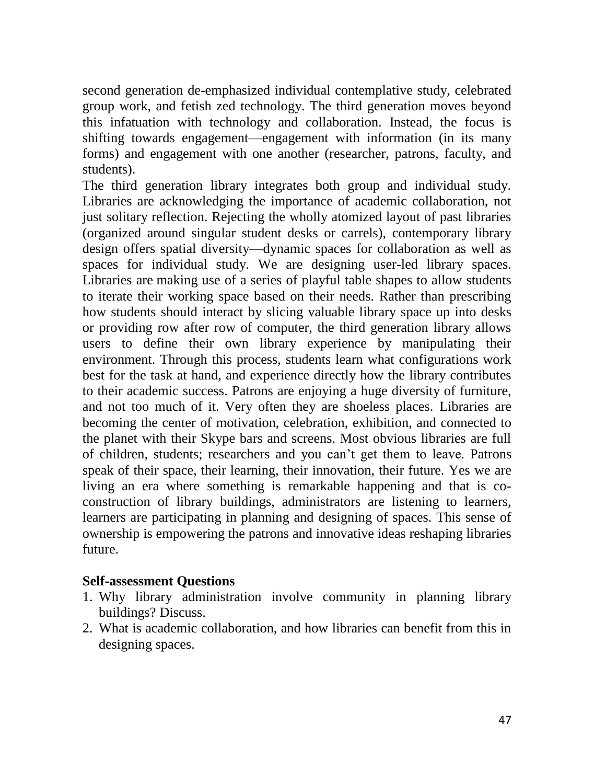second generation de-emphasized individual contemplative study, celebrated group work, and fetish zed technology. The third generation moves beyond this infatuation with technology and collaboration. Instead, the focus is shifting towards engagement—engagement with information (in its many forms) and engagement with one another (researcher, patrons, faculty, and students).

The third generation library integrates both group and individual study. Libraries are acknowledging the importance of academic collaboration, not just solitary reflection. Rejecting the wholly atomized layout of past libraries (organized around singular student desks or carrels), contemporary library design offers spatial diversity—dynamic spaces for collaboration as well as spaces for individual study. We are designing user-led library spaces. Libraries are making use of a series of playful table shapes to allow students to iterate their working space based on their needs. Rather than prescribing how students should interact by slicing valuable library space up into desks or providing row after row of computer, the third generation library allows users to define their own library experience by manipulating their environment. Through this process, students learn what configurations work best for the task at hand, and experience directly how the library contributes to their academic success. Patrons are enjoying a huge diversity of furniture, and not too much of it. Very often they are shoeless places. Libraries are becoming the center of motivation, celebration, exhibition, and connected to the planet with their Skype bars and screens. Most obvious libraries are full of children, students; researchers and you can't get them to leave. Patrons speak of their space, their learning, their innovation, their future. Yes we are living an era where something is remarkable happening and that is coconstruction of library buildings, administrators are listening to learners, learners are participating in planning and designing of spaces. This sense of ownership is empowering the patrons and innovative ideas reshaping libraries future.

# **Self-assessment Questions**

- 1. Why library administration involve community in planning library buildings? Discuss.
- 2. What is academic collaboration, and how libraries can benefit from this in designing spaces.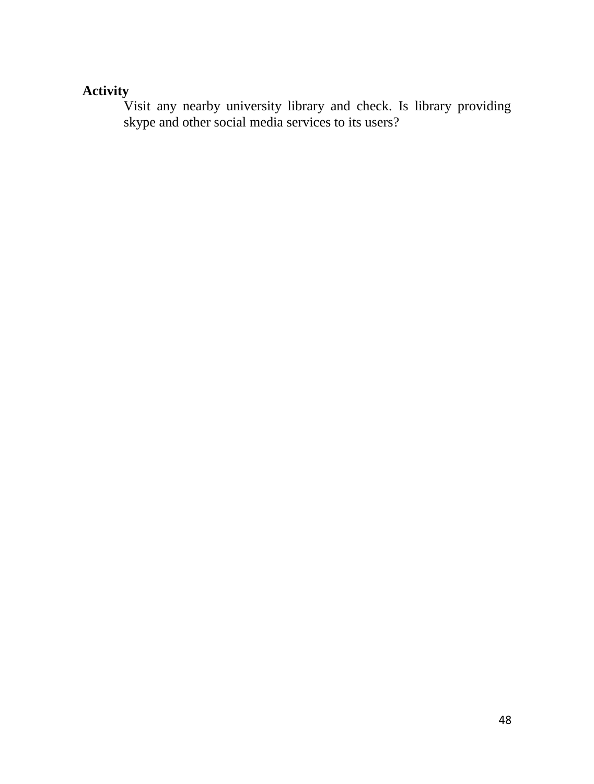# **Activity**

Visit any nearby university library and check. Is library providing skype and other social media services to its users?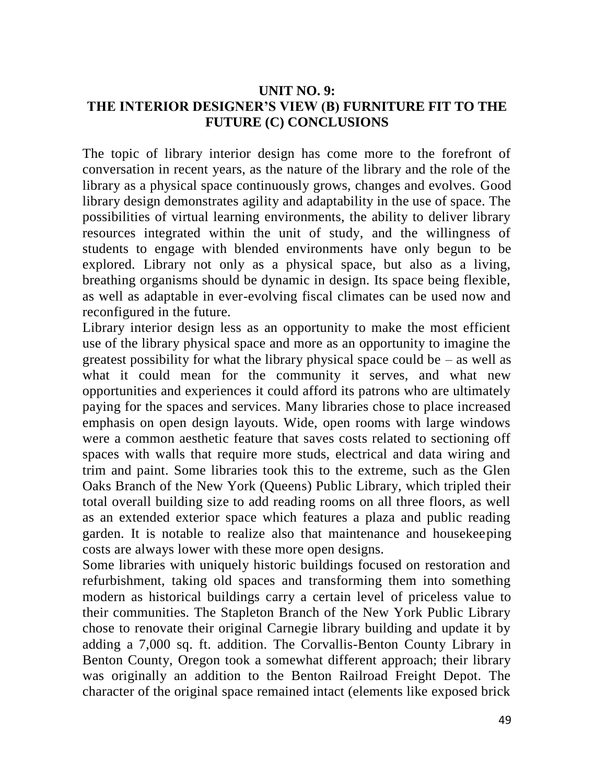# **UNIT NO. 9: THE INTERIOR DESIGNER'S VIEW (B) FURNITURE FIT TO THE FUTURE (C) CONCLUSIONS**

The topic of library interior design has come more to the forefront of conversation in recent years, as the nature of the library and the role of the library as a physical space continuously grows, changes and evolves. Good library design demonstrates agility and adaptability in the use of space. The possibilities of virtual learning environments, the ability to deliver library resources integrated within the unit of study, and the willingness of students to engage with blended environments have only begun to be explored. Library not only as a physical space, but also as a living, breathing organisms should be dynamic in design. Its space being flexible, as well as adaptable in ever-evolving fiscal climates can be used now and reconfigured in the future.

Library interior design less as an opportunity to make the most efficient use of the library physical space and more as an opportunity to imagine the greatest possibility for what the library physical space could be  $-$  as well as what it could mean for the community it serves, and what new opportunities and experiences it could afford its patrons who are ultimately paying for the spaces and services. Many libraries chose to place increased emphasis on open design layouts. Wide, open rooms with large windows were a common aesthetic feature that saves costs related to sectioning off spaces with walls that require more studs, electrical and data wiring and trim and paint. Some libraries took this to the extreme, such as the Glen Oaks Branch of the New York (Queens) Public Library, which tripled their total overall building size to add reading rooms on all three floors, as well as an extended exterior space which features a plaza and public reading garden. It is notable to realize also that maintenance and housekeeping costs are always lower with these more open designs.

Some libraries with uniquely historic buildings focused on restoration and refurbishment, taking old spaces and transforming them into something modern as historical buildings carry a certain level of priceless value to their communities. The Stapleton Branch of the New York Public Library chose to renovate their original Carnegie library building and update it by adding a 7,000 sq. ft. addition. The Corvallis-Benton County Library in Benton County, Oregon took a somewhat different approach; their library was originally an addition to the Benton Railroad Freight Depot. The character of the original space remained intact (elements like exposed brick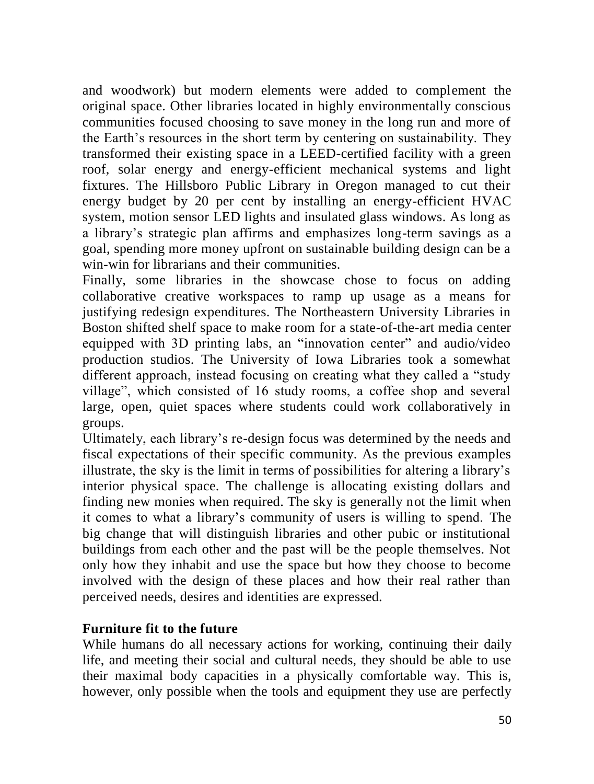and woodwork) but modern elements were added to complement the original space. Other libraries located in highly environmentally conscious communities focused choosing to save money in the long run and more of the Earth's resources in the short term by centering on sustainability. They transformed their existing space in a LEED-certified facility with a green roof, solar energy and energy-efficient mechanical systems and light fixtures. The Hillsboro Public Library in Oregon managed to cut their energy budget by 20 per cent by installing an energy-efficient HVAC system, motion sensor LED lights and insulated glass windows. As long as a library's strategic plan affirms and emphasizes long-term savings as a goal, spending more money upfront on sustainable building design can be a win-win for librarians and their communities.

Finally, some libraries in the showcase chose to focus on adding collaborative creative workspaces to ramp up usage as a means for justifying redesign expenditures. The Northeastern University Libraries in Boston shifted shelf space to make room for a state-of-the-art media center equipped with 3D printing labs, an "innovation center" and audio/video production studios. The University of Iowa Libraries took a somewhat different approach, instead focusing on creating what they called a "study village", which consisted of 16 study rooms, a coffee shop and several large, open, quiet spaces where students could work collaboratively in groups.

Ultimately, each library's re-design focus was determined by the needs and fiscal expectations of their specific community. As the previous examples illustrate, the sky is the limit in terms of possibilities for altering a library's interior physical space. The challenge is allocating existing dollars and finding new monies when required. The sky is generally not the limit when it comes to what a library's community of users is willing to spend. The big change that will distinguish libraries and other pubic or institutional buildings from each other and the past will be the people themselves. Not only how they inhabit and use the space but how they choose to become involved with the design of these places and how their real rather than perceived needs, desires and identities are expressed.

# **Furniture fit to the future**

While humans do all necessary actions for working, continuing their daily life, and meeting their social and cultural needs, they should be able to use their maximal body capacities in a physically comfortable way. This is, however, only possible when the tools and equipment they use are perfectly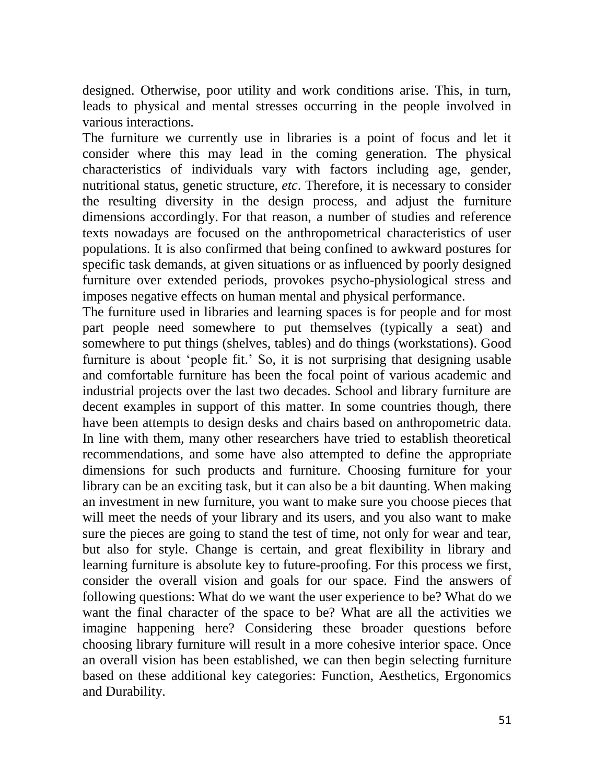designed. Otherwise, poor utility and work conditions arise. This, in turn, leads to physical and mental stresses occurring in the people involved in various interactions.

The furniture we currently use in libraries is a point of focus and let it consider where this may lead in the coming generation. The physical characteristics of individuals vary with factors including age, gender, nutritional status, genetic structure, *etc*. Therefore, it is necessary to consider the resulting diversity in the design process, and adjust the furniture dimensions accordingly. For that reason, a number of studies and reference texts nowadays are focused on the anthropometrical characteristics of user populations. It is also confirmed that being confined to awkward postures for specific task demands, at given situations or as influenced by poorly designed furniture over extended periods, provokes psycho-physiological stress and imposes negative effects on human mental and physical performance.

The furniture used in libraries and learning spaces is for people and for most part people need somewhere to put themselves (typically a seat) and somewhere to put things (shelves, tables) and do things (workstations). Good furniture is about 'people fit.' So, it is not surprising that designing usable and comfortable furniture has been the focal point of various academic and industrial projects over the last two decades. School and library furniture are decent examples in support of this matter. In some countries though, there have been attempts to design desks and chairs based on anthropometric data. In line with them, many other researchers have tried to establish theoretical recommendations, and some have also attempted to define the appropriate dimensions for such products and furniture. Choosing furniture for your library can be an exciting task, but it can also be a bit daunting. When making an investment in new furniture, you want to make sure you choose pieces that will meet the needs of your library and its users, and you also want to make sure the pieces are going to stand the test of time, not only for wear and tear, but also for style. Change is certain, and great flexibility in library and learning furniture is absolute key to future-proofing. For this process we first, consider the overall vision and goals for our space. Find the answers of following questions: What do we want the user experience to be? What do we want the final character of the space to be? What are all the activities we imagine happening here? Considering these broader questions before choosing library furniture will result in a more cohesive interior space. Once an overall vision has been established, we can then begin selecting furniture based on these additional key categories: Function, Aesthetics, Ergonomics and Durability.